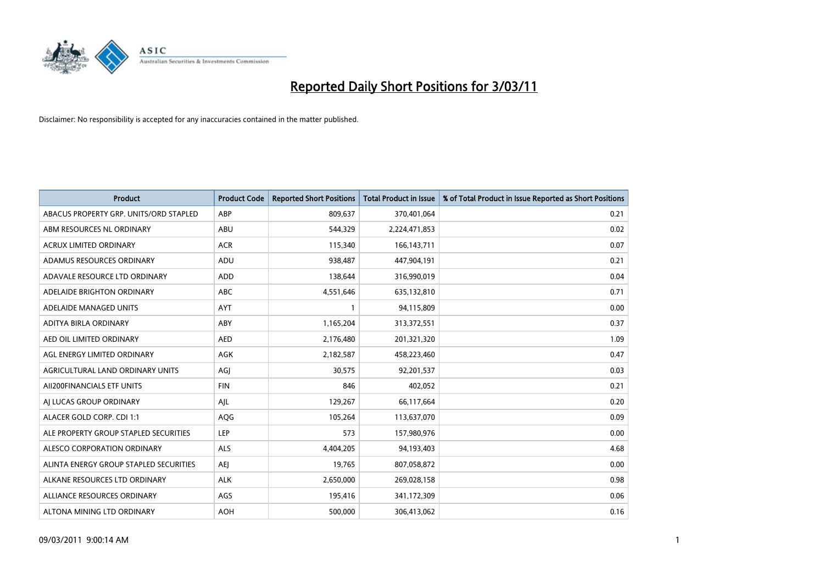

| Product                                | <b>Product Code</b> | <b>Reported Short Positions</b> | <b>Total Product in Issue</b> | % of Total Product in Issue Reported as Short Positions |
|----------------------------------------|---------------------|---------------------------------|-------------------------------|---------------------------------------------------------|
| ABACUS PROPERTY GRP. UNITS/ORD STAPLED | ABP                 | 809,637                         | 370,401,064                   | 0.21                                                    |
| ABM RESOURCES NL ORDINARY              | ABU                 | 544,329                         | 2,224,471,853                 | 0.02                                                    |
| <b>ACRUX LIMITED ORDINARY</b>          | <b>ACR</b>          | 115,340                         | 166, 143, 711                 | 0.07                                                    |
| ADAMUS RESOURCES ORDINARY              | ADU                 | 938,487                         | 447,904,191                   | 0.21                                                    |
| ADAVALE RESOURCE LTD ORDINARY          | <b>ADD</b>          | 138,644                         | 316,990,019                   | 0.04                                                    |
| ADELAIDE BRIGHTON ORDINARY             | <b>ABC</b>          | 4,551,646                       | 635,132,810                   | 0.71                                                    |
| ADELAIDE MANAGED UNITS                 | <b>AYT</b>          |                                 | 94,115,809                    | 0.00                                                    |
| ADITYA BIRLA ORDINARY                  | ABY                 | 1,165,204                       | 313,372,551                   | 0.37                                                    |
| AED OIL LIMITED ORDINARY               | <b>AED</b>          | 2,176,480                       | 201,321,320                   | 1.09                                                    |
| AGL ENERGY LIMITED ORDINARY            | AGK                 | 2,182,587                       | 458,223,460                   | 0.47                                                    |
| AGRICULTURAL LAND ORDINARY UNITS       | AGJ                 | 30,575                          | 92,201,537                    | 0.03                                                    |
| AII200FINANCIALS ETF UNITS             | <b>FIN</b>          | 846                             | 402,052                       | 0.21                                                    |
| AI LUCAS GROUP ORDINARY                | AJL                 | 129,267                         | 66,117,664                    | 0.20                                                    |
| ALACER GOLD CORP. CDI 1:1              | AQG                 | 105,264                         | 113,637,070                   | 0.09                                                    |
| ALE PROPERTY GROUP STAPLED SECURITIES  | LEP                 | 573                             | 157,980,976                   | 0.00                                                    |
| ALESCO CORPORATION ORDINARY            | <b>ALS</b>          | 4,404,205                       | 94,193,403                    | 4.68                                                    |
| ALINTA ENERGY GROUP STAPLED SECURITIES | AEJ                 | 19,765                          | 807,058,872                   | 0.00                                                    |
| ALKANE RESOURCES LTD ORDINARY          | <b>ALK</b>          | 2,650,000                       | 269,028,158                   | 0.98                                                    |
| ALLIANCE RESOURCES ORDINARY            | AGS                 | 195,416                         | 341,172,309                   | 0.06                                                    |
| ALTONA MINING LTD ORDINARY             | <b>AOH</b>          | 500,000                         | 306,413,062                   | 0.16                                                    |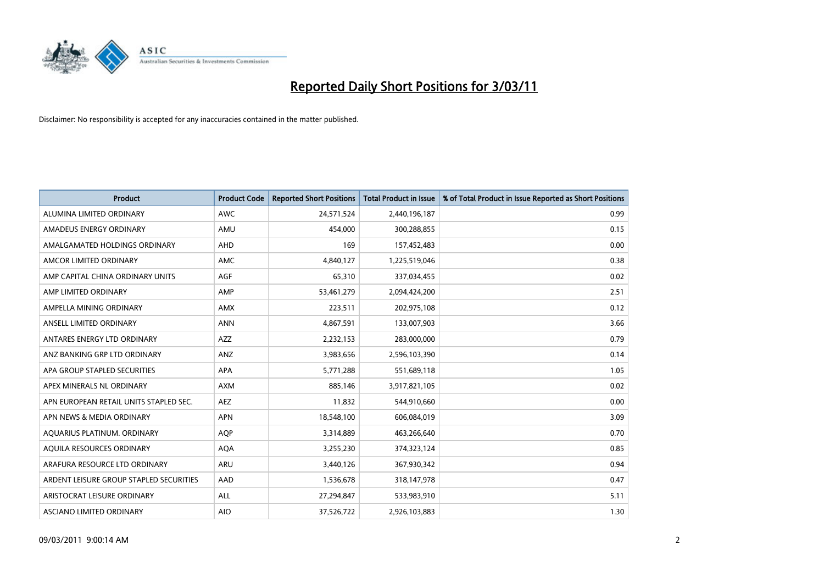

| <b>Product</b>                          | <b>Product Code</b> | <b>Reported Short Positions</b> | <b>Total Product in Issue</b> | % of Total Product in Issue Reported as Short Positions |
|-----------------------------------------|---------------------|---------------------------------|-------------------------------|---------------------------------------------------------|
| ALUMINA LIMITED ORDINARY                | <b>AWC</b>          | 24,571,524                      | 2,440,196,187                 | 0.99                                                    |
| AMADEUS ENERGY ORDINARY                 | AMU                 | 454.000                         | 300,288,855                   | 0.15                                                    |
| AMALGAMATED HOLDINGS ORDINARY           | AHD                 | 169                             | 157,452,483                   | 0.00                                                    |
| AMCOR LIMITED ORDINARY                  | <b>AMC</b>          | 4,840,127                       | 1,225,519,046                 | 0.38                                                    |
| AMP CAPITAL CHINA ORDINARY UNITS        | <b>AGF</b>          | 65,310                          | 337,034,455                   | 0.02                                                    |
| AMP LIMITED ORDINARY                    | AMP                 | 53,461,279                      | 2,094,424,200                 | 2.51                                                    |
| AMPELLA MINING ORDINARY                 | <b>AMX</b>          | 223,511                         | 202,975,108                   | 0.12                                                    |
| ANSELL LIMITED ORDINARY                 | <b>ANN</b>          | 4,867,591                       | 133,007,903                   | 3.66                                                    |
| ANTARES ENERGY LTD ORDINARY             | <b>AZZ</b>          | 2,232,153                       | 283,000,000                   | 0.79                                                    |
| ANZ BANKING GRP LTD ORDINARY            | ANZ                 | 3,983,656                       | 2,596,103,390                 | 0.14                                                    |
| APA GROUP STAPLED SECURITIES            | <b>APA</b>          | 5,771,288                       | 551,689,118                   | 1.05                                                    |
| APEX MINERALS NL ORDINARY               | <b>AXM</b>          | 885,146                         | 3,917,821,105                 | 0.02                                                    |
| APN EUROPEAN RETAIL UNITS STAPLED SEC.  | <b>AEZ</b>          | 11,832                          | 544,910,660                   | 0.00                                                    |
| APN NEWS & MEDIA ORDINARY               | <b>APN</b>          | 18,548,100                      | 606,084,019                   | 3.09                                                    |
| AQUARIUS PLATINUM. ORDINARY             | <b>AOP</b>          | 3,314,889                       | 463,266,640                   | 0.70                                                    |
| AQUILA RESOURCES ORDINARY               | <b>AQA</b>          | 3,255,230                       | 374,323,124                   | 0.85                                                    |
| ARAFURA RESOURCE LTD ORDINARY           | <b>ARU</b>          | 3,440,126                       | 367,930,342                   | 0.94                                                    |
| ARDENT LEISURE GROUP STAPLED SECURITIES | AAD                 | 1,536,678                       | 318,147,978                   | 0.47                                                    |
| ARISTOCRAT LEISURE ORDINARY             | <b>ALL</b>          | 27,294,847                      | 533,983,910                   | 5.11                                                    |
| ASCIANO LIMITED ORDINARY                | <b>AIO</b>          | 37,526,722                      | 2,926,103,883                 | 1.30                                                    |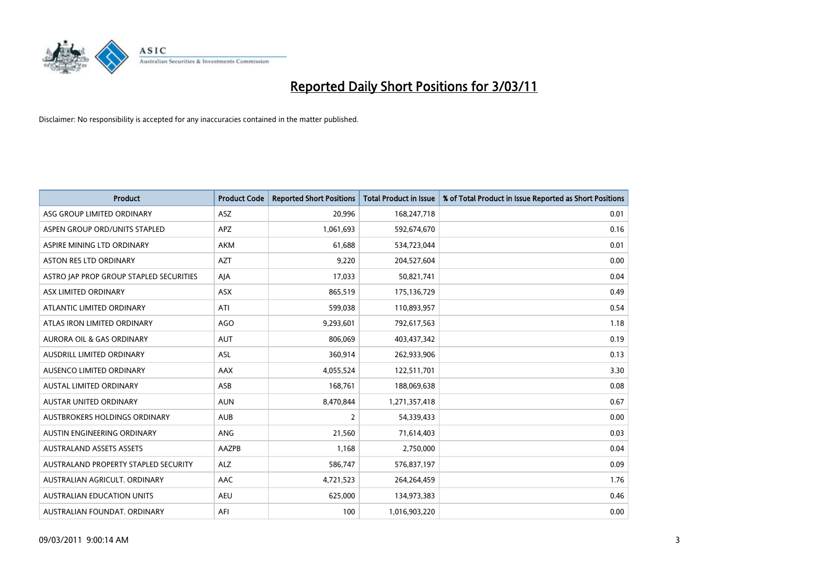

| <b>Product</b>                          | <b>Product Code</b> | <b>Reported Short Positions</b> | Total Product in Issue | % of Total Product in Issue Reported as Short Positions |
|-----------------------------------------|---------------------|---------------------------------|------------------------|---------------------------------------------------------|
| ASG GROUP LIMITED ORDINARY              | <b>ASZ</b>          | 20,996                          | 168,247,718            | 0.01                                                    |
| ASPEN GROUP ORD/UNITS STAPLED           | <b>APZ</b>          | 1,061,693                       | 592,674,670            | 0.16                                                    |
| ASPIRE MINING LTD ORDINARY              | <b>AKM</b>          | 61,688                          | 534,723,044            | 0.01                                                    |
| ASTON RES LTD ORDINARY                  | <b>AZT</b>          | 9,220                           | 204,527,604            | 0.00                                                    |
| ASTRO IAP PROP GROUP STAPLED SECURITIES | AJA                 | 17,033                          | 50,821,741             | 0.04                                                    |
| ASX LIMITED ORDINARY                    | ASX                 | 865,519                         | 175,136,729            | 0.49                                                    |
| ATLANTIC LIMITED ORDINARY               | ATI                 | 599,038                         | 110,893,957            | 0.54                                                    |
| ATLAS IRON LIMITED ORDINARY             | <b>AGO</b>          | 9,293,601                       | 792,617,563            | 1.18                                                    |
| AURORA OIL & GAS ORDINARY               | <b>AUT</b>          | 806,069                         | 403,437,342            | 0.19                                                    |
| AUSDRILL LIMITED ORDINARY               | <b>ASL</b>          | 360,914                         | 262,933,906            | 0.13                                                    |
| AUSENCO LIMITED ORDINARY                | AAX                 | 4,055,524                       | 122,511,701            | 3.30                                                    |
| <b>AUSTAL LIMITED ORDINARY</b>          | ASB                 | 168,761                         | 188,069,638            | 0.08                                                    |
| <b>AUSTAR UNITED ORDINARY</b>           | <b>AUN</b>          | 8,470,844                       | 1,271,357,418          | 0.67                                                    |
| AUSTBROKERS HOLDINGS ORDINARY           | <b>AUB</b>          | 2                               | 54,339,433             | 0.00                                                    |
| AUSTIN ENGINEERING ORDINARY             | ANG                 | 21,560                          | 71,614,403             | 0.03                                                    |
| <b>AUSTRALAND ASSETS ASSETS</b>         | <b>AAZPB</b>        | 1,168                           | 2,750,000              | 0.04                                                    |
| AUSTRALAND PROPERTY STAPLED SECURITY    | <b>ALZ</b>          | 586,747                         | 576,837,197            | 0.09                                                    |
| AUSTRALIAN AGRICULT. ORDINARY           | AAC                 | 4,721,523                       | 264,264,459            | 1.76                                                    |
| <b>AUSTRALIAN EDUCATION UNITS</b>       | <b>AEU</b>          | 625,000                         | 134,973,383            | 0.46                                                    |
| AUSTRALIAN FOUNDAT. ORDINARY            | AFI                 | 100                             | 1,016,903,220          | 0.00                                                    |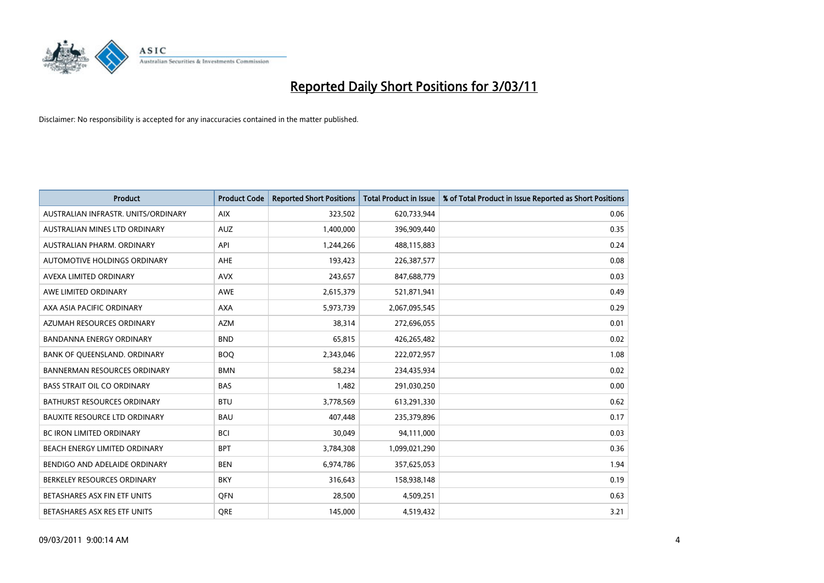

| <b>Product</b>                       | <b>Product Code</b> | <b>Reported Short Positions</b> | <b>Total Product in Issue</b> | % of Total Product in Issue Reported as Short Positions |
|--------------------------------------|---------------------|---------------------------------|-------------------------------|---------------------------------------------------------|
| AUSTRALIAN INFRASTR. UNITS/ORDINARY  | <b>AIX</b>          | 323,502                         | 620,733,944                   | 0.06                                                    |
| AUSTRALIAN MINES LTD ORDINARY        | <b>AUZ</b>          | 1,400,000                       | 396,909,440                   | 0.35                                                    |
| AUSTRALIAN PHARM, ORDINARY           | API                 | 1,244,266                       | 488,115,883                   | 0.24                                                    |
| AUTOMOTIVE HOLDINGS ORDINARY         | <b>AHE</b>          | 193,423                         | 226,387,577                   | 0.08                                                    |
| AVEXA LIMITED ORDINARY               | <b>AVX</b>          | 243,657                         | 847,688,779                   | 0.03                                                    |
| AWE LIMITED ORDINARY                 | <b>AWE</b>          | 2,615,379                       | 521,871,941                   | 0.49                                                    |
| AXA ASIA PACIFIC ORDINARY            | <b>AXA</b>          | 5,973,739                       | 2,067,095,545                 | 0.29                                                    |
| AZUMAH RESOURCES ORDINARY            | <b>AZM</b>          | 38,314                          | 272,696,055                   | 0.01                                                    |
| BANDANNA ENERGY ORDINARY             | <b>BND</b>          | 65,815                          | 426,265,482                   | 0.02                                                    |
| BANK OF QUEENSLAND. ORDINARY         | <b>BOQ</b>          | 2,343,046                       | 222,072,957                   | 1.08                                                    |
| <b>BANNERMAN RESOURCES ORDINARY</b>  | <b>BMN</b>          | 58,234                          | 234,435,934                   | 0.02                                                    |
| <b>BASS STRAIT OIL CO ORDINARY</b>   | <b>BAS</b>          | 1,482                           | 291,030,250                   | 0.00                                                    |
| <b>BATHURST RESOURCES ORDINARY</b>   | <b>BTU</b>          | 3,778,569                       | 613,291,330                   | 0.62                                                    |
| <b>BAUXITE RESOURCE LTD ORDINARY</b> | <b>BAU</b>          | 407,448                         | 235,379,896                   | 0.17                                                    |
| <b>BC IRON LIMITED ORDINARY</b>      | <b>BCI</b>          | 30,049                          | 94,111,000                    | 0.03                                                    |
| BEACH ENERGY LIMITED ORDINARY        | <b>BPT</b>          | 3,784,308                       | 1,099,021,290                 | 0.36                                                    |
| BENDIGO AND ADELAIDE ORDINARY        | <b>BEN</b>          | 6,974,786                       | 357,625,053                   | 1.94                                                    |
| BERKELEY RESOURCES ORDINARY          | <b>BKY</b>          | 316,643                         | 158,938,148                   | 0.19                                                    |
| BETASHARES ASX FIN ETF UNITS         | <b>OFN</b>          | 28,500                          | 4,509,251                     | 0.63                                                    |
| BETASHARES ASX RES ETF UNITS         | <b>ORE</b>          | 145.000                         | 4,519,432                     | 3.21                                                    |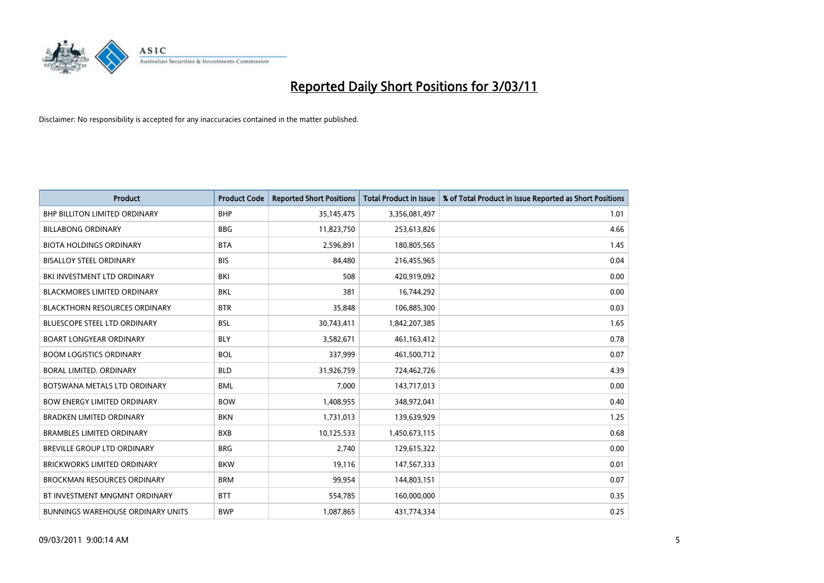

| <b>Product</b>                           | <b>Product Code</b> | <b>Reported Short Positions</b> | <b>Total Product in Issue</b> | % of Total Product in Issue Reported as Short Positions |
|------------------------------------------|---------------------|---------------------------------|-------------------------------|---------------------------------------------------------|
| <b>BHP BILLITON LIMITED ORDINARY</b>     | <b>BHP</b>          | 35, 145, 475                    | 3,356,081,497                 | 1.01                                                    |
| <b>BILLABONG ORDINARY</b>                | <b>BBG</b>          | 11,823,750                      | 253,613,826                   | 4.66                                                    |
| <b>BIOTA HOLDINGS ORDINARY</b>           | <b>BTA</b>          | 2,596,891                       | 180,805,565                   | 1.45                                                    |
| <b>BISALLOY STEEL ORDINARY</b>           | <b>BIS</b>          | 84,480                          | 216,455,965                   | 0.04                                                    |
| BKI INVESTMENT LTD ORDINARY              | <b>BKI</b>          | 508                             | 420,919,092                   | 0.00                                                    |
| <b>BLACKMORES LIMITED ORDINARY</b>       | <b>BKL</b>          | 381                             | 16,744,292                    | 0.00                                                    |
| <b>BLACKTHORN RESOURCES ORDINARY</b>     | <b>BTR</b>          | 35,848                          | 106,885,300                   | 0.03                                                    |
| <b>BLUESCOPE STEEL LTD ORDINARY</b>      | <b>BSL</b>          | 30,743,411                      | 1,842,207,385                 | 1.65                                                    |
| <b>BOART LONGYEAR ORDINARY</b>           | <b>BLY</b>          | 3,582,671                       | 461,163,412                   | 0.78                                                    |
| <b>BOOM LOGISTICS ORDINARY</b>           | <b>BOL</b>          | 337,999                         | 461,500,712                   | 0.07                                                    |
| BORAL LIMITED. ORDINARY                  | <b>BLD</b>          | 31,926,759                      | 724,462,726                   | 4.39                                                    |
| BOTSWANA METALS LTD ORDINARY             | <b>BML</b>          | 7,000                           | 143,717,013                   | 0.00                                                    |
| <b>BOW ENERGY LIMITED ORDINARY</b>       | <b>BOW</b>          | 1,408,955                       | 348,972,041                   | 0.40                                                    |
| <b>BRADKEN LIMITED ORDINARY</b>          | <b>BKN</b>          | 1,731,013                       | 139,639,929                   | 1.25                                                    |
| <b>BRAMBLES LIMITED ORDINARY</b>         | <b>BXB</b>          | 10,125,533                      | 1,450,673,115                 | 0.68                                                    |
| <b>BREVILLE GROUP LTD ORDINARY</b>       | <b>BRG</b>          | 2,740                           | 129,615,322                   | 0.00                                                    |
| <b>BRICKWORKS LIMITED ORDINARY</b>       | <b>BKW</b>          | 19,116                          | 147,567,333                   | 0.01                                                    |
| <b>BROCKMAN RESOURCES ORDINARY</b>       | <b>BRM</b>          | 99,954                          | 144,803,151                   | 0.07                                                    |
| BT INVESTMENT MNGMNT ORDINARY            | <b>BTT</b>          | 554,785                         | 160,000,000                   | 0.35                                                    |
| <b>BUNNINGS WAREHOUSE ORDINARY UNITS</b> | <b>BWP</b>          | 1,087,865                       | 431,774,334                   | 0.25                                                    |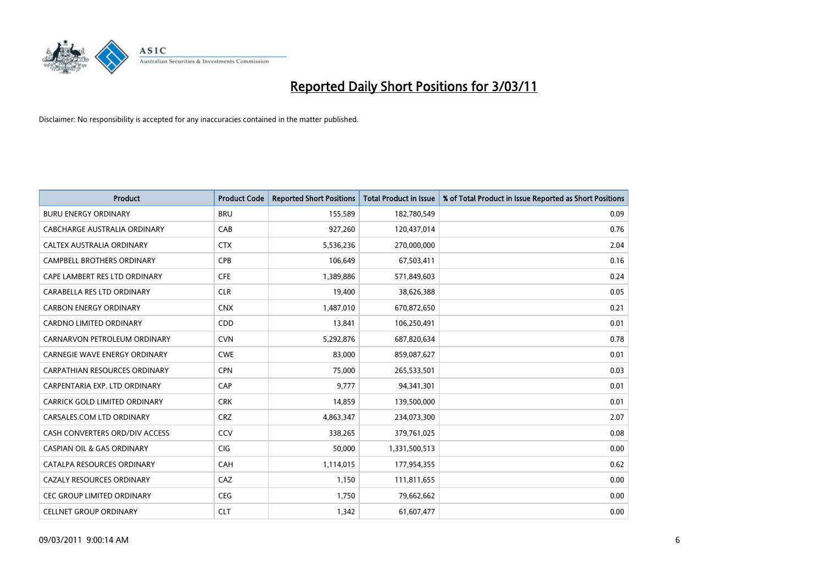

| <b>Product</b>                       | <b>Product Code</b> | <b>Reported Short Positions</b> | Total Product in Issue | % of Total Product in Issue Reported as Short Positions |
|--------------------------------------|---------------------|---------------------------------|------------------------|---------------------------------------------------------|
| <b>BURU ENERGY ORDINARY</b>          | <b>BRU</b>          | 155,589                         | 182,780,549            | 0.09                                                    |
| CABCHARGE AUSTRALIA ORDINARY         | CAB                 | 927,260                         | 120,437,014            | 0.76                                                    |
| CALTEX AUSTRALIA ORDINARY            | <b>CTX</b>          | 5,536,236                       | 270,000,000            | 2.04                                                    |
| CAMPBELL BROTHERS ORDINARY           | CPB                 | 106,649                         | 67,503,411             | 0.16                                                    |
| CAPE LAMBERT RES LTD ORDINARY        | <b>CFE</b>          | 1,389,886                       | 571,849,603            | 0.24                                                    |
| CARABELLA RES LTD ORDINARY           | <b>CLR</b>          | 19,400                          | 38,626,388             | 0.05                                                    |
| <b>CARBON ENERGY ORDINARY</b>        | <b>CNX</b>          | 1,487,010                       | 670,872,650            | 0.21                                                    |
| CARDNO LIMITED ORDINARY              | <b>CDD</b>          | 13,841                          | 106,250,491            | 0.01                                                    |
| CARNARVON PETROLEUM ORDINARY         | <b>CVN</b>          | 5,292,876                       | 687,820,634            | 0.78                                                    |
| CARNEGIE WAVE ENERGY ORDINARY        | <b>CWE</b>          | 83,000                          | 859,087,627            | 0.01                                                    |
| CARPATHIAN RESOURCES ORDINARY        | <b>CPN</b>          | 75,000                          | 265,533,501            | 0.03                                                    |
| CARPENTARIA EXP. LTD ORDINARY        | CAP                 | 9,777                           | 94,341,301             | 0.01                                                    |
| <b>CARRICK GOLD LIMITED ORDINARY</b> | <b>CRK</b>          | 14,859                          | 139,500,000            | 0.01                                                    |
| CARSALES.COM LTD ORDINARY            | <b>CRZ</b>          | 4,863,347                       | 234,073,300            | 2.07                                                    |
| CASH CONVERTERS ORD/DIV ACCESS       | CCV                 | 338,265                         | 379,761,025            | 0.08                                                    |
| CASPIAN OIL & GAS ORDINARY           | <b>CIG</b>          | 50,000                          | 1,331,500,513          | 0.00                                                    |
| CATALPA RESOURCES ORDINARY           | <b>CAH</b>          | 1,114,015                       | 177,954,355            | 0.62                                                    |
| CAZALY RESOURCES ORDINARY            | CAZ                 | 1,150                           | 111,811,655            | 0.00                                                    |
| CEC GROUP LIMITED ORDINARY           | <b>CEG</b>          | 1,750                           | 79,662,662             | 0.00                                                    |
| <b>CELLNET GROUP ORDINARY</b>        | <b>CLT</b>          | 1,342                           | 61,607,477             | 0.00                                                    |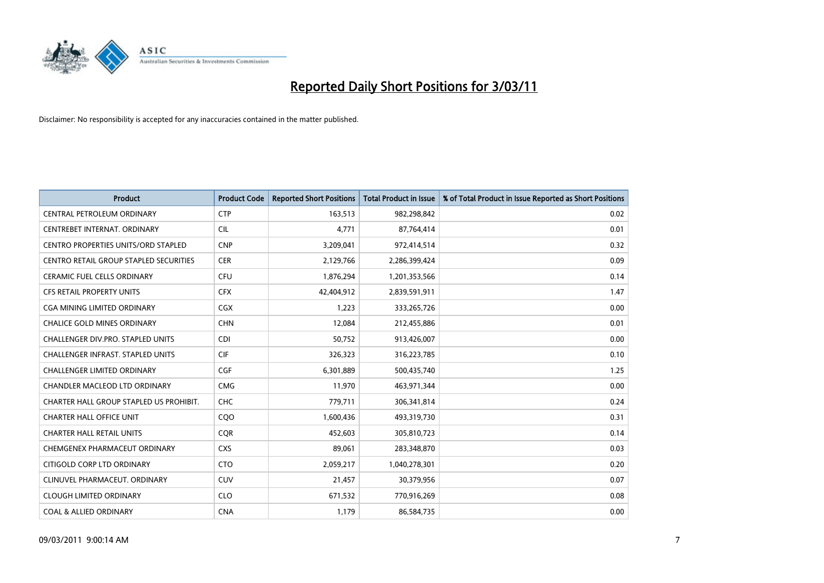

| <b>Product</b>                                | <b>Product Code</b> | <b>Reported Short Positions</b> | <b>Total Product in Issue</b> | % of Total Product in Issue Reported as Short Positions |
|-----------------------------------------------|---------------------|---------------------------------|-------------------------------|---------------------------------------------------------|
| CENTRAL PETROLEUM ORDINARY                    | <b>CTP</b>          | 163,513                         | 982,298,842                   | 0.02                                                    |
| CENTREBET INTERNAT. ORDINARY                  | <b>CIL</b>          | 4,771                           | 87,764,414                    | 0.01                                                    |
| <b>CENTRO PROPERTIES UNITS/ORD STAPLED</b>    | <b>CNP</b>          | 3,209,041                       | 972,414,514                   | 0.32                                                    |
| <b>CENTRO RETAIL GROUP STAPLED SECURITIES</b> | <b>CER</b>          | 2,129,766                       | 2,286,399,424                 | 0.09                                                    |
| <b>CERAMIC FUEL CELLS ORDINARY</b>            | <b>CFU</b>          | 1,876,294                       | 1,201,353,566                 | 0.14                                                    |
| <b>CFS RETAIL PROPERTY UNITS</b>              | <b>CFX</b>          | 42,404,912                      | 2,839,591,911                 | 1.47                                                    |
| CGA MINING LIMITED ORDINARY                   | <b>CGX</b>          | 1,223                           | 333,265,726                   | 0.00                                                    |
| <b>CHALICE GOLD MINES ORDINARY</b>            | <b>CHN</b>          | 12,084                          | 212,455,886                   | 0.01                                                    |
| CHALLENGER DIV.PRO. STAPLED UNITS             | <b>CDI</b>          | 50,752                          | 913,426,007                   | 0.00                                                    |
| CHALLENGER INFRAST. STAPLED UNITS             | <b>CIF</b>          | 326,323                         | 316,223,785                   | 0.10                                                    |
| <b>CHALLENGER LIMITED ORDINARY</b>            | <b>CGF</b>          | 6,301,889                       | 500,435,740                   | 1.25                                                    |
| <b>CHANDLER MACLEOD LTD ORDINARY</b>          | <b>CMG</b>          | 11,970                          | 463,971,344                   | 0.00                                                    |
| CHARTER HALL GROUP STAPLED US PROHIBIT.       | <b>CHC</b>          | 779,711                         | 306,341,814                   | 0.24                                                    |
| <b>CHARTER HALL OFFICE UNIT</b>               | CQ <sub>O</sub>     | 1,600,436                       | 493,319,730                   | 0.31                                                    |
| <b>CHARTER HALL RETAIL UNITS</b>              | <b>CQR</b>          | 452,603                         | 305,810,723                   | 0.14                                                    |
| CHEMGENEX PHARMACEUT ORDINARY                 | <b>CXS</b>          | 89,061                          | 283,348,870                   | 0.03                                                    |
| CITIGOLD CORP LTD ORDINARY                    | <b>CTO</b>          | 2,059,217                       | 1,040,278,301                 | 0.20                                                    |
| CLINUVEL PHARMACEUT. ORDINARY                 | <b>CUV</b>          | 21,457                          | 30,379,956                    | 0.07                                                    |
| <b>CLOUGH LIMITED ORDINARY</b>                | <b>CLO</b>          | 671,532                         | 770,916,269                   | 0.08                                                    |
| <b>COAL &amp; ALLIED ORDINARY</b>             | <b>CNA</b>          | 1,179                           | 86,584,735                    | 0.00                                                    |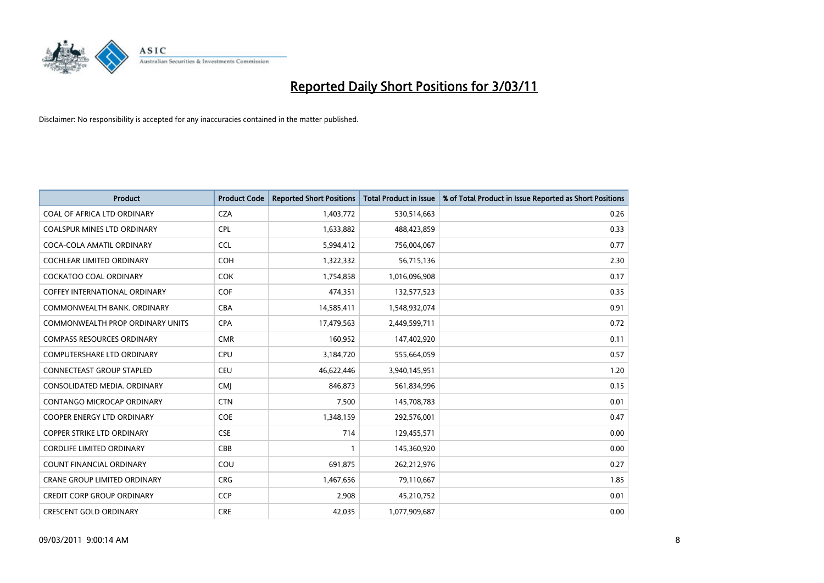

| <b>Product</b>                       | <b>Product Code</b> | <b>Reported Short Positions</b> | <b>Total Product in Issue</b> | % of Total Product in Issue Reported as Short Positions |
|--------------------------------------|---------------------|---------------------------------|-------------------------------|---------------------------------------------------------|
| COAL OF AFRICA LTD ORDINARY          | <b>CZA</b>          | 1,403,772                       | 530,514,663                   | 0.26                                                    |
| COALSPUR MINES LTD ORDINARY          | <b>CPL</b>          | 1,633,882                       | 488,423,859                   | 0.33                                                    |
| COCA-COLA AMATIL ORDINARY            | <b>CCL</b>          | 5,994,412                       | 756,004,067                   | 0.77                                                    |
| COCHLEAR LIMITED ORDINARY            | <b>COH</b>          | 1,322,332                       | 56,715,136                    | 2.30                                                    |
| <b>COCKATOO COAL ORDINARY</b>        | <b>COK</b>          | 1,754,858                       | 1,016,096,908                 | 0.17                                                    |
| <b>COFFEY INTERNATIONAL ORDINARY</b> | <b>COF</b>          | 474,351                         | 132,577,523                   | 0.35                                                    |
| COMMONWEALTH BANK, ORDINARY          | <b>CBA</b>          | 14,585,411                      | 1,548,932,074                 | 0.91                                                    |
| COMMONWEALTH PROP ORDINARY UNITS     | <b>CPA</b>          | 17,479,563                      | 2,449,599,711                 | 0.72                                                    |
| <b>COMPASS RESOURCES ORDINARY</b>    | <b>CMR</b>          | 160,952                         | 147,402,920                   | 0.11                                                    |
| <b>COMPUTERSHARE LTD ORDINARY</b>    | <b>CPU</b>          | 3,184,720                       | 555,664,059                   | 0.57                                                    |
| <b>CONNECTEAST GROUP STAPLED</b>     | <b>CEU</b>          | 46,622,446                      | 3,940,145,951                 | 1.20                                                    |
| CONSOLIDATED MEDIA, ORDINARY         | <b>CMI</b>          | 846,873                         | 561,834,996                   | 0.15                                                    |
| <b>CONTANGO MICROCAP ORDINARY</b>    | <b>CTN</b>          | 7,500                           | 145,708,783                   | 0.01                                                    |
| <b>COOPER ENERGY LTD ORDINARY</b>    | <b>COE</b>          | 1,348,159                       | 292,576,001                   | 0.47                                                    |
| <b>COPPER STRIKE LTD ORDINARY</b>    | <b>CSE</b>          | 714                             | 129,455,571                   | 0.00                                                    |
| <b>CORDLIFE LIMITED ORDINARY</b>     | CBB                 |                                 | 145,360,920                   | 0.00                                                    |
| <b>COUNT FINANCIAL ORDINARY</b>      | COU                 | 691,875                         | 262,212,976                   | 0.27                                                    |
| CRANE GROUP LIMITED ORDINARY         | <b>CRG</b>          | 1,467,656                       | 79,110,667                    | 1.85                                                    |
| <b>CREDIT CORP GROUP ORDINARY</b>    | <b>CCP</b>          | 2,908                           | 45,210,752                    | 0.01                                                    |
| <b>CRESCENT GOLD ORDINARY</b>        | <b>CRE</b>          | 42,035                          | 1,077,909,687                 | 0.00                                                    |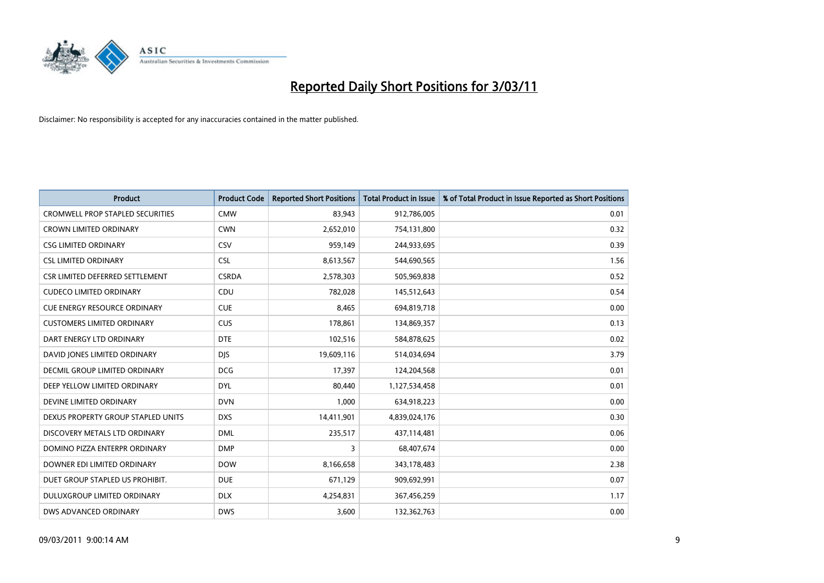

| Product                                 | <b>Product Code</b> | <b>Reported Short Positions</b> | <b>Total Product in Issue</b> | % of Total Product in Issue Reported as Short Positions |
|-----------------------------------------|---------------------|---------------------------------|-------------------------------|---------------------------------------------------------|
| <b>CROMWELL PROP STAPLED SECURITIES</b> | <b>CMW</b>          | 83,943                          | 912,786,005                   | 0.01                                                    |
| <b>CROWN LIMITED ORDINARY</b>           | <b>CWN</b>          | 2,652,010                       | 754,131,800                   | 0.32                                                    |
| <b>CSG LIMITED ORDINARY</b>             | CSV                 | 959,149                         | 244,933,695                   | 0.39                                                    |
| <b>CSL LIMITED ORDINARY</b>             | <b>CSL</b>          | 8,613,567                       | 544,690,565                   | 1.56                                                    |
| CSR LIMITED DEFERRED SETTLEMENT         | <b>CSRDA</b>        | 2,578,303                       | 505,969,838                   | 0.52                                                    |
| <b>CUDECO LIMITED ORDINARY</b>          | CDU                 | 782,028                         | 145,512,643                   | 0.54                                                    |
| <b>CUE ENERGY RESOURCE ORDINARY</b>     | <b>CUE</b>          | 8,465                           | 694,819,718                   | 0.00                                                    |
| <b>CUSTOMERS LIMITED ORDINARY</b>       | <b>CUS</b>          | 178,861                         | 134,869,357                   | 0.13                                                    |
| DART ENERGY LTD ORDINARY                | <b>DTE</b>          | 102,516                         | 584,878,625                   | 0.02                                                    |
| DAVID JONES LIMITED ORDINARY            | <b>DJS</b>          | 19,609,116                      | 514,034,694                   | 3.79                                                    |
| <b>DECMIL GROUP LIMITED ORDINARY</b>    | <b>DCG</b>          | 17,397                          | 124,204,568                   | 0.01                                                    |
| DEEP YELLOW LIMITED ORDINARY            | <b>DYL</b>          | 80,440                          | 1,127,534,458                 | 0.01                                                    |
| DEVINE LIMITED ORDINARY                 | <b>DVN</b>          | 1,000                           | 634,918,223                   | 0.00                                                    |
| DEXUS PROPERTY GROUP STAPLED UNITS      | <b>DXS</b>          | 14,411,901                      | 4,839,024,176                 | 0.30                                                    |
| DISCOVERY METALS LTD ORDINARY           | <b>DML</b>          | 235,517                         | 437,114,481                   | 0.06                                                    |
| DOMINO PIZZA ENTERPR ORDINARY           | <b>DMP</b>          | 3                               | 68,407,674                    | 0.00                                                    |
| DOWNER EDI LIMITED ORDINARY             | <b>DOW</b>          | 8,166,658                       | 343,178,483                   | 2.38                                                    |
| DUET GROUP STAPLED US PROHIBIT.         | <b>DUE</b>          | 671,129                         | 909,692,991                   | 0.07                                                    |
| DULUXGROUP LIMITED ORDINARY             | <b>DLX</b>          | 4,254,831                       | 367,456,259                   | 1.17                                                    |
| DWS ADVANCED ORDINARY                   | <b>DWS</b>          | 3,600                           | 132,362,763                   | 0.00                                                    |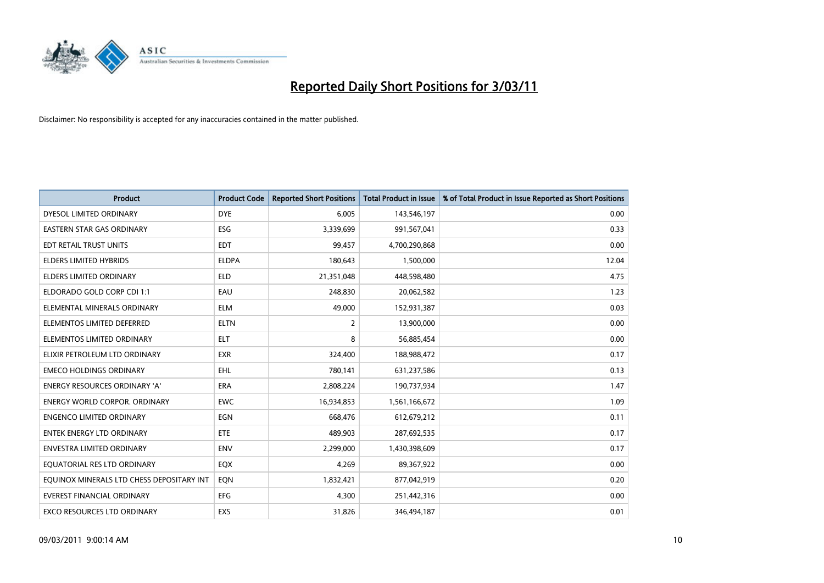

| <b>Product</b>                            | <b>Product Code</b> | <b>Reported Short Positions</b> | Total Product in Issue | % of Total Product in Issue Reported as Short Positions |
|-------------------------------------------|---------------------|---------------------------------|------------------------|---------------------------------------------------------|
| DYESOL LIMITED ORDINARY                   | <b>DYE</b>          | 6,005                           | 143,546,197            | 0.00                                                    |
| EASTERN STAR GAS ORDINARY                 | ESG                 | 3,339,699                       | 991,567,041            | 0.33                                                    |
| EDT RETAIL TRUST UNITS                    | <b>EDT</b>          | 99,457                          | 4,700,290,868          | 0.00                                                    |
| <b>ELDERS LIMITED HYBRIDS</b>             | <b>ELDPA</b>        | 180,643                         | 1,500,000              | 12.04                                                   |
| ELDERS LIMITED ORDINARY                   | <b>ELD</b>          | 21,351,048                      | 448,598,480            | 4.75                                                    |
| ELDORADO GOLD CORP CDI 1:1                | EAU                 | 248.830                         | 20,062,582             | 1.23                                                    |
| ELEMENTAL MINERALS ORDINARY               | <b>ELM</b>          | 49,000                          | 152,931,387            | 0.03                                                    |
| ELEMENTOS LIMITED DEFERRED                | <b>ELTN</b>         | 2                               | 13,900,000             | 0.00                                                    |
| ELEMENTOS LIMITED ORDINARY                | <b>ELT</b>          | 8                               | 56,885,454             | 0.00                                                    |
| ELIXIR PETROLEUM LTD ORDINARY             | <b>EXR</b>          | 324,400                         | 188,988,472            | 0.17                                                    |
| <b>EMECO HOLDINGS ORDINARY</b>            | <b>EHL</b>          | 780,141                         | 631,237,586            | 0.13                                                    |
| <b>ENERGY RESOURCES ORDINARY 'A'</b>      | <b>ERA</b>          | 2,808,224                       | 190,737,934            | 1.47                                                    |
| <b>ENERGY WORLD CORPOR, ORDINARY</b>      | <b>EWC</b>          | 16,934,853                      | 1,561,166,672          | 1.09                                                    |
| <b>ENGENCO LIMITED ORDINARY</b>           | EGN                 | 668.476                         | 612,679,212            | 0.11                                                    |
| <b>ENTEK ENERGY LTD ORDINARY</b>          | ETE                 | 489,903                         | 287,692,535            | 0.17                                                    |
| <b>ENVESTRA LIMITED ORDINARY</b>          | <b>ENV</b>          | 2,299,000                       | 1,430,398,609          | 0.17                                                    |
| EQUATORIAL RES LTD ORDINARY               | EQX                 | 4,269                           | 89,367,922             | 0.00                                                    |
| EQUINOX MINERALS LTD CHESS DEPOSITARY INT | EQN                 | 1,832,421                       | 877,042,919            | 0.20                                                    |
| <b>EVEREST FINANCIAL ORDINARY</b>         | <b>EFG</b>          | 4,300                           | 251,442,316            | 0.00                                                    |
| EXCO RESOURCES LTD ORDINARY               | EXS                 | 31,826                          | 346,494,187            | 0.01                                                    |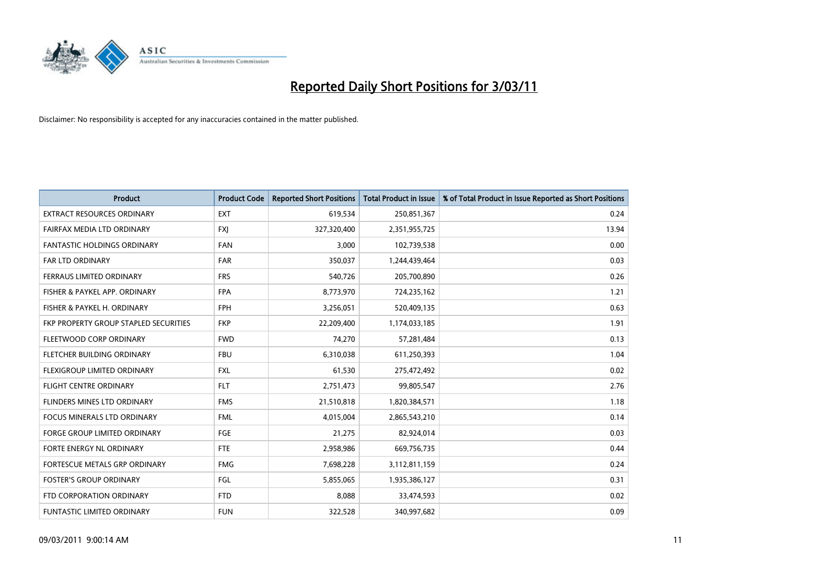

| <b>Product</b>                        | <b>Product Code</b> | <b>Reported Short Positions</b> | Total Product in Issue | % of Total Product in Issue Reported as Short Positions |
|---------------------------------------|---------------------|---------------------------------|------------------------|---------------------------------------------------------|
| <b>EXTRACT RESOURCES ORDINARY</b>     | <b>EXT</b>          | 619,534                         | 250,851,367            | 0.24                                                    |
| FAIRFAX MEDIA LTD ORDINARY            | <b>FXI</b>          | 327,320,400                     | 2,351,955,725          | 13.94                                                   |
| <b>FANTASTIC HOLDINGS ORDINARY</b>    | FAN                 | 3,000                           | 102,739,538            | 0.00                                                    |
| FAR LTD ORDINARY                      | FAR                 | 350,037                         | 1,244,439,464          | 0.03                                                    |
| FERRAUS LIMITED ORDINARY              | <b>FRS</b>          | 540,726                         | 205,700,890            | 0.26                                                    |
| FISHER & PAYKEL APP. ORDINARY         | <b>FPA</b>          | 8,773,970                       | 724,235,162            | 1.21                                                    |
| FISHER & PAYKEL H. ORDINARY           | <b>FPH</b>          | 3,256,051                       | 520,409,135            | 0.63                                                    |
| FKP PROPERTY GROUP STAPLED SECURITIES | <b>FKP</b>          | 22,209,400                      | 1,174,033,185          | 1.91                                                    |
| FLEETWOOD CORP ORDINARY               | <b>FWD</b>          | 74,270                          | 57,281,484             | 0.13                                                    |
| FLETCHER BUILDING ORDINARY            | <b>FBU</b>          | 6,310,038                       | 611,250,393            | 1.04                                                    |
| FLEXIGROUP LIMITED ORDINARY           | <b>FXL</b>          | 61,530                          | 275,472,492            | 0.02                                                    |
| <b>FLIGHT CENTRE ORDINARY</b>         | <b>FLT</b>          | 2,751,473                       | 99,805,547             | 2.76                                                    |
| FLINDERS MINES LTD ORDINARY           | <b>FMS</b>          | 21,510,818                      | 1,820,384,571          | 1.18                                                    |
| <b>FOCUS MINERALS LTD ORDINARY</b>    | <b>FML</b>          | 4.015.004                       | 2,865,543,210          | 0.14                                                    |
| <b>FORGE GROUP LIMITED ORDINARY</b>   | FGE                 | 21,275                          | 82,924,014             | 0.03                                                    |
| FORTE ENERGY NL ORDINARY              | <b>FTE</b>          | 2,958,986                       | 669,756,735            | 0.44                                                    |
| FORTESCUE METALS GRP ORDINARY         | <b>FMG</b>          | 7,698,228                       | 3,112,811,159          | 0.24                                                    |
| <b>FOSTER'S GROUP ORDINARY</b>        | FGL                 | 5,855,065                       | 1,935,386,127          | 0.31                                                    |
| FTD CORPORATION ORDINARY              | <b>FTD</b>          | 8,088                           | 33,474,593             | 0.02                                                    |
| <b>FUNTASTIC LIMITED ORDINARY</b>     | <b>FUN</b>          | 322,528                         | 340,997,682            | 0.09                                                    |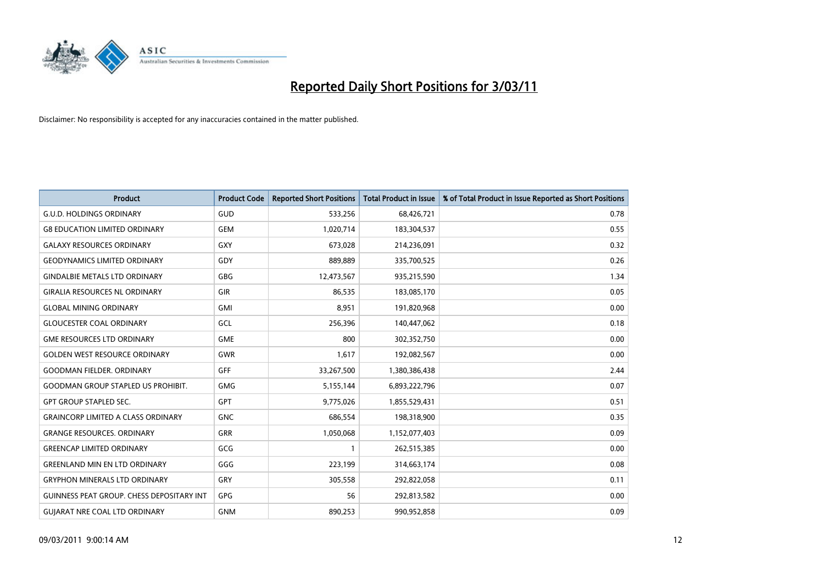

| <b>Product</b>                                   | <b>Product Code</b> | <b>Reported Short Positions</b> | Total Product in Issue | % of Total Product in Issue Reported as Short Positions |
|--------------------------------------------------|---------------------|---------------------------------|------------------------|---------------------------------------------------------|
| <b>G.U.D. HOLDINGS ORDINARY</b>                  | GUD                 | 533,256                         | 68,426,721             | 0.78                                                    |
| <b>G8 EDUCATION LIMITED ORDINARY</b>             | <b>GEM</b>          | 1,020,714                       | 183,304,537            | 0.55                                                    |
| <b>GALAXY RESOURCES ORDINARY</b>                 | GXY                 | 673,028                         | 214,236,091            | 0.32                                                    |
| <b>GEODYNAMICS LIMITED ORDINARY</b>              | GDY                 | 889,889                         | 335,700,525            | 0.26                                                    |
| <b>GINDALBIE METALS LTD ORDINARY</b>             | <b>GBG</b>          | 12,473,567                      | 935,215,590            | 1.34                                                    |
| <b>GIRALIA RESOURCES NL ORDINARY</b>             | GIR                 | 86,535                          | 183,085,170            | 0.05                                                    |
| <b>GLOBAL MINING ORDINARY</b>                    | <b>GMI</b>          | 8.951                           | 191,820,968            | 0.00                                                    |
| <b>GLOUCESTER COAL ORDINARY</b>                  | GCL                 | 256,396                         | 140,447,062            | 0.18                                                    |
| <b>GME RESOURCES LTD ORDINARY</b>                | <b>GME</b>          | 800                             | 302,352,750            | 0.00                                                    |
| <b>GOLDEN WEST RESOURCE ORDINARY</b>             | <b>GWR</b>          | 1,617                           | 192,082,567            | 0.00                                                    |
| <b>GOODMAN FIELDER, ORDINARY</b>                 | GFF                 | 33,267,500                      | 1,380,386,438          | 2.44                                                    |
| <b>GOODMAN GROUP STAPLED US PROHIBIT.</b>        | GMG                 | 5,155,144                       | 6,893,222,796          | 0.07                                                    |
| <b>GPT GROUP STAPLED SEC.</b>                    | <b>GPT</b>          | 9,775,026                       | 1,855,529,431          | 0.51                                                    |
| <b>GRAINCORP LIMITED A CLASS ORDINARY</b>        | <b>GNC</b>          | 686.554                         | 198,318,900            | 0.35                                                    |
| <b>GRANGE RESOURCES, ORDINARY</b>                | <b>GRR</b>          | 1,050,068                       | 1,152,077,403          | 0.09                                                    |
| <b>GREENCAP LIMITED ORDINARY</b>                 | GCG                 |                                 | 262,515,385            | 0.00                                                    |
| <b>GREENLAND MIN EN LTD ORDINARY</b>             | GGG                 | 223,199                         | 314,663,174            | 0.08                                                    |
| <b>GRYPHON MINERALS LTD ORDINARY</b>             | GRY                 | 305,558                         | 292,822,058            | 0.11                                                    |
| <b>GUINNESS PEAT GROUP. CHESS DEPOSITARY INT</b> | <b>GPG</b>          | 56                              | 292,813,582            | 0.00                                                    |
| <b>GUIARAT NRE COAL LTD ORDINARY</b>             | <b>GNM</b>          | 890.253                         | 990,952,858            | 0.09                                                    |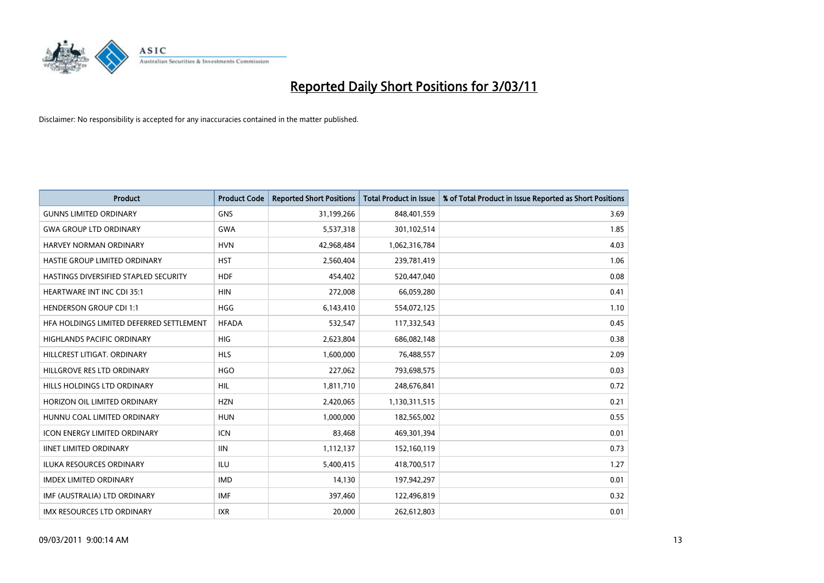

| Product                                  | <b>Product Code</b> | <b>Reported Short Positions</b> | <b>Total Product in Issue</b> | % of Total Product in Issue Reported as Short Positions |
|------------------------------------------|---------------------|---------------------------------|-------------------------------|---------------------------------------------------------|
| <b>GUNNS LIMITED ORDINARY</b>            | <b>GNS</b>          | 31,199,266                      | 848,401,559                   | 3.69                                                    |
| <b>GWA GROUP LTD ORDINARY</b>            | <b>GWA</b>          | 5,537,318                       | 301,102,514                   | 1.85                                                    |
| <b>HARVEY NORMAN ORDINARY</b>            | <b>HVN</b>          | 42,968,484                      | 1,062,316,784                 | 4.03                                                    |
| HASTIE GROUP LIMITED ORDINARY            | <b>HST</b>          | 2,560,404                       | 239,781,419                   | 1.06                                                    |
| HASTINGS DIVERSIFIED STAPLED SECURITY    | <b>HDF</b>          | 454,402                         | 520,447,040                   | 0.08                                                    |
| <b>HEARTWARE INT INC CDI 35:1</b>        | <b>HIN</b>          | 272,008                         | 66,059,280                    | 0.41                                                    |
| <b>HENDERSON GROUP CDI 1:1</b>           | <b>HGG</b>          | 6,143,410                       | 554,072,125                   | 1.10                                                    |
| HFA HOLDINGS LIMITED DEFERRED SETTLEMENT | <b>HFADA</b>        | 532,547                         | 117,332,543                   | 0.45                                                    |
| HIGHLANDS PACIFIC ORDINARY               | <b>HIG</b>          | 2,623,804                       | 686,082,148                   | 0.38                                                    |
| HILLCREST LITIGAT, ORDINARY              | <b>HLS</b>          | 1,600,000                       | 76,488,557                    | 2.09                                                    |
| HILLGROVE RES LTD ORDINARY               | <b>HGO</b>          | 227,062                         | 793,698,575                   | 0.03                                                    |
| HILLS HOLDINGS LTD ORDINARY              | <b>HIL</b>          | 1,811,710                       | 248,676,841                   | 0.72                                                    |
| HORIZON OIL LIMITED ORDINARY             | <b>HZN</b>          | 2,420,065                       | 1,130,311,515                 | 0.21                                                    |
| HUNNU COAL LIMITED ORDINARY              | <b>HUN</b>          | 1,000,000                       | 182,565,002                   | 0.55                                                    |
| <b>ICON ENERGY LIMITED ORDINARY</b>      | <b>ICN</b>          | 83,468                          | 469,301,394                   | 0.01                                                    |
| <b>IINET LIMITED ORDINARY</b>            | <b>IIN</b>          | 1,112,137                       | 152,160,119                   | 0.73                                                    |
| <b>ILUKA RESOURCES ORDINARY</b>          | ILU                 | 5,400,415                       | 418,700,517                   | 1.27                                                    |
| <b>IMDEX LIMITED ORDINARY</b>            | <b>IMD</b>          | 14,130                          | 197,942,297                   | 0.01                                                    |
| IMF (AUSTRALIA) LTD ORDINARY             | <b>IMF</b>          | 397,460                         | 122,496,819                   | 0.32                                                    |
| <b>IMX RESOURCES LTD ORDINARY</b>        | <b>IXR</b>          | 20,000                          | 262,612,803                   | 0.01                                                    |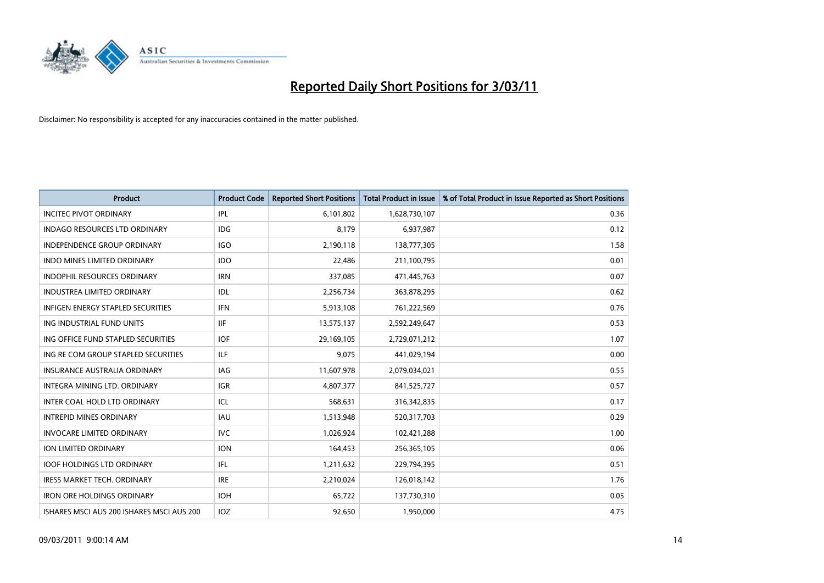

| <b>Product</b>                            | <b>Product Code</b> | <b>Reported Short Positions</b> | <b>Total Product in Issue</b> | % of Total Product in Issue Reported as Short Positions |
|-------------------------------------------|---------------------|---------------------------------|-------------------------------|---------------------------------------------------------|
| <b>INCITEC PIVOT ORDINARY</b>             | IPL                 | 6,101,802                       | 1,628,730,107                 | 0.36                                                    |
| INDAGO RESOURCES LTD ORDINARY             | IDG                 | 8,179                           | 6,937,987                     | 0.12                                                    |
| INDEPENDENCE GROUP ORDINARY               | <b>IGO</b>          | 2,190,118                       | 138,777,305                   | 1.58                                                    |
| INDO MINES LIMITED ORDINARY               | <b>IDO</b>          | 22,486                          | 211,100,795                   | 0.01                                                    |
| <b>INDOPHIL RESOURCES ORDINARY</b>        | <b>IRN</b>          | 337,085                         | 471,445,763                   | 0.07                                                    |
| <b>INDUSTREA LIMITED ORDINARY</b>         | IDL                 | 2,256,734                       | 363,878,295                   | 0.62                                                    |
| <b>INFIGEN ENERGY STAPLED SECURITIES</b>  | <b>IFN</b>          | 5,913,108                       | 761,222,569                   | 0.76                                                    |
| ING INDUSTRIAL FUND UNITS                 | <b>IIF</b>          | 13,575,137                      | 2,592,249,647                 | 0.53                                                    |
| ING OFFICE FUND STAPLED SECURITIES        | <b>IOF</b>          | 29,169,105                      | 2,729,071,212                 | 1.07                                                    |
| ING RE COM GROUP STAPLED SECURITIES       | ILF                 | 9,075                           | 441,029,194                   | 0.00                                                    |
| <b>INSURANCE AUSTRALIA ORDINARY</b>       | <b>IAG</b>          | 11,607,978                      | 2,079,034,021                 | 0.55                                                    |
| INTEGRA MINING LTD, ORDINARY              | <b>IGR</b>          | 4,807,377                       | 841,525,727                   | 0.57                                                    |
| INTER COAL HOLD LTD ORDINARY              | ICL                 | 568,631                         | 316,342,835                   | 0.17                                                    |
| <b>INTREPID MINES ORDINARY</b>            | <b>IAU</b>          | 1,513,948                       | 520,317,703                   | 0.29                                                    |
| <b>INVOCARE LIMITED ORDINARY</b>          | <b>IVC</b>          | 1,026,924                       | 102,421,288                   | 1.00                                                    |
| ION LIMITED ORDINARY                      | <b>ION</b>          | 164,453                         | 256,365,105                   | 0.06                                                    |
| <b>IOOF HOLDINGS LTD ORDINARY</b>         | <b>IFL</b>          | 1,211,632                       | 229,794,395                   | 0.51                                                    |
| IRESS MARKET TECH. ORDINARY               | <b>IRE</b>          | 2,210,024                       | 126,018,142                   | 1.76                                                    |
| <b>IRON ORE HOLDINGS ORDINARY</b>         | <b>IOH</b>          | 65,722                          | 137,730,310                   | 0.05                                                    |
| ISHARES MSCI AUS 200 ISHARES MSCI AUS 200 | IOZ                 | 92,650                          | 1,950,000                     | 4.75                                                    |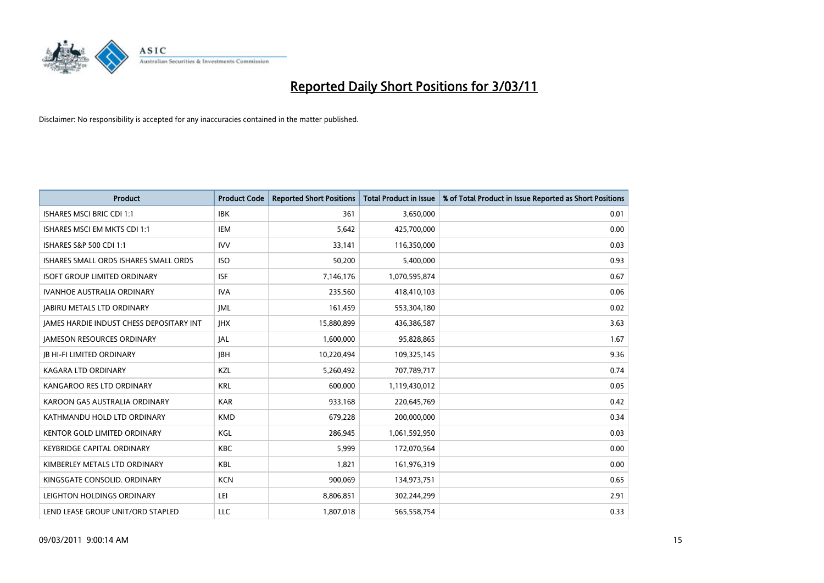

| <b>Product</b>                           | <b>Product Code</b> | <b>Reported Short Positions</b> | <b>Total Product in Issue</b> | % of Total Product in Issue Reported as Short Positions |
|------------------------------------------|---------------------|---------------------------------|-------------------------------|---------------------------------------------------------|
| <b>ISHARES MSCI BRIC CDI 1:1</b>         | <b>IBK</b>          | 361                             | 3,650,000                     | 0.01                                                    |
| ISHARES MSCI EM MKTS CDI 1:1             | <b>IEM</b>          | 5,642                           | 425,700,000                   | 0.00                                                    |
| <b>ISHARES S&amp;P 500 CDI 1:1</b>       | <b>IVV</b>          | 33,141                          | 116,350,000                   | 0.03                                                    |
| ISHARES SMALL ORDS ISHARES SMALL ORDS    | <b>ISO</b>          | 50,200                          | 5,400,000                     | 0.93                                                    |
| <b>ISOFT GROUP LIMITED ORDINARY</b>      | <b>ISF</b>          | 7,146,176                       | 1,070,595,874                 | 0.67                                                    |
| <b>IVANHOE AUSTRALIA ORDINARY</b>        | <b>IVA</b>          | 235,560                         | 418,410,103                   | 0.06                                                    |
| <b>JABIRU METALS LTD ORDINARY</b>        | <b>IML</b>          | 161,459                         | 553,304,180                   | 0.02                                                    |
| JAMES HARDIE INDUST CHESS DEPOSITARY INT | <b>IHX</b>          | 15,880,899                      | 436,386,587                   | 3.63                                                    |
| <b>JAMESON RESOURCES ORDINARY</b>        | <b>JAL</b>          | 1,600,000                       | 95,828,865                    | 1.67                                                    |
| <b>JB HI-FI LIMITED ORDINARY</b>         | <b>IBH</b>          | 10,220,494                      | 109,325,145                   | 9.36                                                    |
| KAGARA LTD ORDINARY                      | KZL                 | 5,260,492                       | 707,789,717                   | 0.74                                                    |
| KANGAROO RES LTD ORDINARY                | <b>KRL</b>          | 600.000                         | 1,119,430,012                 | 0.05                                                    |
| KAROON GAS AUSTRALIA ORDINARY            | <b>KAR</b>          | 933,168                         | 220,645,769                   | 0.42                                                    |
| KATHMANDU HOLD LTD ORDINARY              | <b>KMD</b>          | 679,228                         | 200,000,000                   | 0.34                                                    |
| KENTOR GOLD LIMITED ORDINARY             | <b>KGL</b>          | 286,945                         | 1,061,592,950                 | 0.03                                                    |
| <b>KEYBRIDGE CAPITAL ORDINARY</b>        | <b>KBC</b>          | 5,999                           | 172,070,564                   | 0.00                                                    |
| KIMBERLEY METALS LTD ORDINARY            | <b>KBL</b>          | 1,821                           | 161,976,319                   | 0.00                                                    |
| KINGSGATE CONSOLID. ORDINARY             | <b>KCN</b>          | 900,069                         | 134,973,751                   | 0.65                                                    |
| LEIGHTON HOLDINGS ORDINARY               | LEI                 | 8,806,851                       | 302,244,299                   | 2.91                                                    |
| LEND LEASE GROUP UNIT/ORD STAPLED        | LLC                 | 1.807.018                       | 565,558,754                   | 0.33                                                    |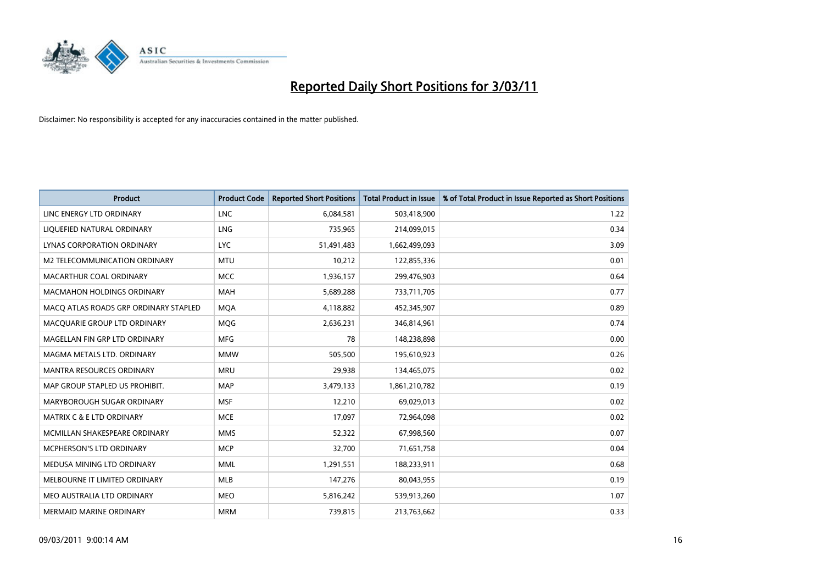

| <b>Product</b>                        | <b>Product Code</b> | <b>Reported Short Positions</b> | Total Product in Issue | % of Total Product in Issue Reported as Short Positions |
|---------------------------------------|---------------------|---------------------------------|------------------------|---------------------------------------------------------|
| LINC ENERGY LTD ORDINARY              | <b>LNC</b>          | 6,084,581                       | 503,418,900            | 1.22                                                    |
| LIQUEFIED NATURAL ORDINARY            | <b>LNG</b>          | 735,965                         | 214,099,015            | 0.34                                                    |
| <b>LYNAS CORPORATION ORDINARY</b>     | <b>LYC</b>          | 51,491,483                      | 1,662,499,093          | 3.09                                                    |
| M2 TELECOMMUNICATION ORDINARY         | <b>MTU</b>          | 10,212                          | 122,855,336            | 0.01                                                    |
| MACARTHUR COAL ORDINARY               | <b>MCC</b>          | 1,936,157                       | 299,476,903            | 0.64                                                    |
| <b>MACMAHON HOLDINGS ORDINARY</b>     | <b>MAH</b>          | 5,689,288                       | 733,711,705            | 0.77                                                    |
| MACQ ATLAS ROADS GRP ORDINARY STAPLED | <b>MQA</b>          | 4,118,882                       | 452,345,907            | 0.89                                                    |
| MACQUARIE GROUP LTD ORDINARY          | MQG                 | 2,636,231                       | 346,814,961            | 0.74                                                    |
| MAGELLAN FIN GRP LTD ORDINARY         | <b>MFG</b>          | 78                              | 148,238,898            | 0.00                                                    |
| MAGMA METALS LTD. ORDINARY            | <b>MMW</b>          | 505,500                         | 195,610,923            | 0.26                                                    |
| MANTRA RESOURCES ORDINARY             | <b>MRU</b>          | 29,938                          | 134,465,075            | 0.02                                                    |
| MAP GROUP STAPLED US PROHIBIT.        | <b>MAP</b>          | 3,479,133                       | 1,861,210,782          | 0.19                                                    |
| MARYBOROUGH SUGAR ORDINARY            | <b>MSF</b>          | 12,210                          | 69,029,013             | 0.02                                                    |
| <b>MATRIX C &amp; E LTD ORDINARY</b>  | <b>MCE</b>          | 17,097                          | 72,964,098             | 0.02                                                    |
| MCMILLAN SHAKESPEARE ORDINARY         | <b>MMS</b>          | 52,322                          | 67,998,560             | 0.07                                                    |
| <b>MCPHERSON'S LTD ORDINARY</b>       | <b>MCP</b>          | 32,700                          | 71,651,758             | 0.04                                                    |
| MEDUSA MINING LTD ORDINARY            | <b>MML</b>          | 1,291,551                       | 188,233,911            | 0.68                                                    |
| MELBOURNE IT LIMITED ORDINARY         | <b>MLB</b>          | 147,276                         | 80,043,955             | 0.19                                                    |
| MEO AUSTRALIA LTD ORDINARY            | <b>MEO</b>          | 5,816,242                       | 539,913,260            | 1.07                                                    |
| MERMAID MARINE ORDINARY               | <b>MRM</b>          | 739,815                         | 213,763,662            | 0.33                                                    |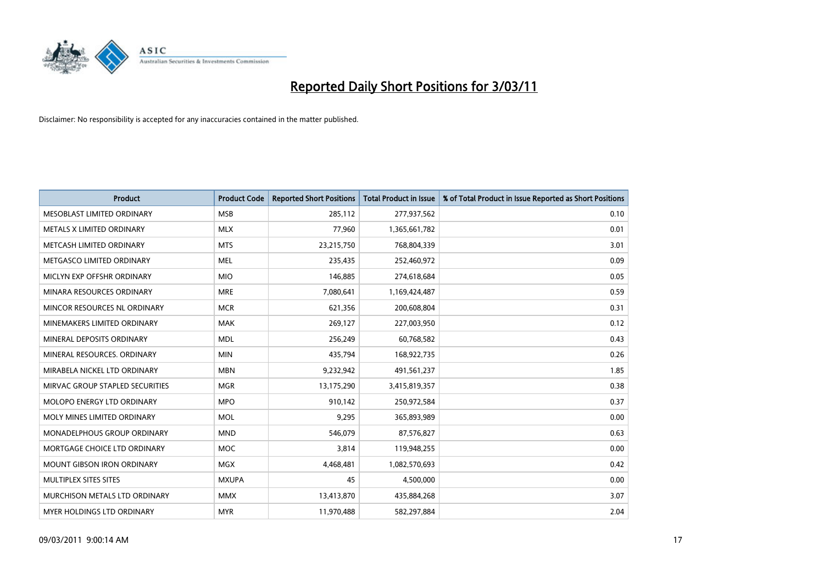

| <b>Product</b>                    | <b>Product Code</b> | <b>Reported Short Positions</b> | <b>Total Product in Issue</b> | % of Total Product in Issue Reported as Short Positions |
|-----------------------------------|---------------------|---------------------------------|-------------------------------|---------------------------------------------------------|
| MESOBLAST LIMITED ORDINARY        | <b>MSB</b>          | 285,112                         | 277,937,562                   | 0.10                                                    |
| METALS X LIMITED ORDINARY         | <b>MLX</b>          | 77,960                          | 1,365,661,782                 | 0.01                                                    |
| METCASH LIMITED ORDINARY          | <b>MTS</b>          | 23,215,750                      | 768,804,339                   | 3.01                                                    |
| METGASCO LIMITED ORDINARY         | <b>MEL</b>          | 235,435                         | 252,460,972                   | 0.09                                                    |
| MICLYN EXP OFFSHR ORDINARY        | <b>MIO</b>          | 146,885                         | 274,618,684                   | 0.05                                                    |
| MINARA RESOURCES ORDINARY         | <b>MRE</b>          | 7,080,641                       | 1,169,424,487                 | 0.59                                                    |
| MINCOR RESOURCES NL ORDINARY      | <b>MCR</b>          | 621,356                         | 200,608,804                   | 0.31                                                    |
| MINEMAKERS LIMITED ORDINARY       | <b>MAK</b>          | 269,127                         | 227,003,950                   | 0.12                                                    |
| MINERAL DEPOSITS ORDINARY         | <b>MDL</b>          | 256,249                         | 60,768,582                    | 0.43                                                    |
| MINERAL RESOURCES, ORDINARY       | <b>MIN</b>          | 435,794                         | 168,922,735                   | 0.26                                                    |
| MIRABELA NICKEL LTD ORDINARY      | <b>MBN</b>          | 9,232,942                       | 491,561,237                   | 1.85                                                    |
| MIRVAC GROUP STAPLED SECURITIES   | <b>MGR</b>          | 13,175,290                      | 3,415,819,357                 | 0.38                                                    |
| <b>MOLOPO ENERGY LTD ORDINARY</b> | <b>MPO</b>          | 910,142                         | 250,972,584                   | 0.37                                                    |
| MOLY MINES LIMITED ORDINARY       | <b>MOL</b>          | 9,295                           | 365,893,989                   | 0.00                                                    |
| MONADELPHOUS GROUP ORDINARY       | <b>MND</b>          | 546,079                         | 87,576,827                    | 0.63                                                    |
| MORTGAGE CHOICE LTD ORDINARY      | <b>MOC</b>          | 3,814                           | 119,948,255                   | 0.00                                                    |
| MOUNT GIBSON IRON ORDINARY        | <b>MGX</b>          | 4,468,481                       | 1,082,570,693                 | 0.42                                                    |
| MULTIPLEX SITES SITES             | <b>MXUPA</b>        | 45                              | 4,500,000                     | 0.00                                                    |
| MURCHISON METALS LTD ORDINARY     | <b>MMX</b>          | 13,413,870                      | 435,884,268                   | 3.07                                                    |
| MYER HOLDINGS LTD ORDINARY        | <b>MYR</b>          | 11,970,488                      | 582,297,884                   | 2.04                                                    |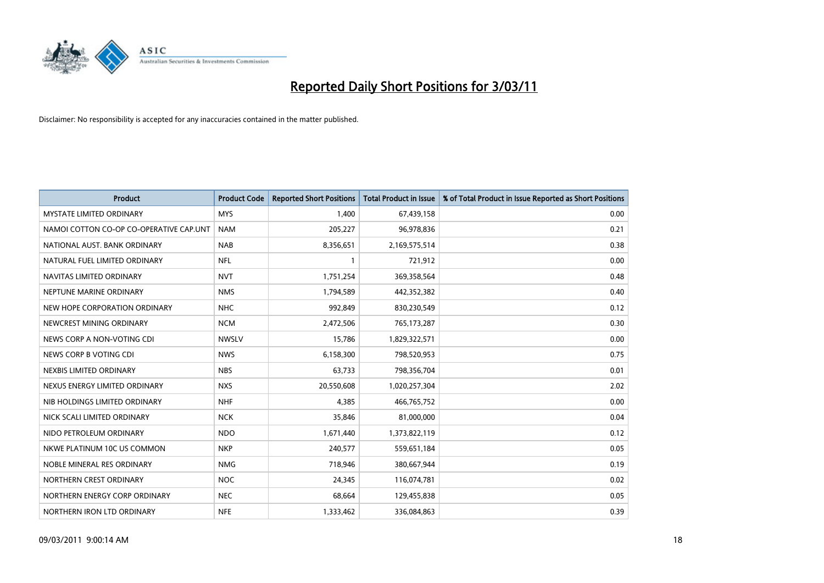

| <b>Product</b>                          | <b>Product Code</b> | <b>Reported Short Positions</b> | <b>Total Product in Issue</b> | % of Total Product in Issue Reported as Short Positions |
|-----------------------------------------|---------------------|---------------------------------|-------------------------------|---------------------------------------------------------|
| MYSTATE LIMITED ORDINARY                | <b>MYS</b>          | 1,400                           | 67,439,158                    | 0.00                                                    |
| NAMOI COTTON CO-OP CO-OPERATIVE CAP.UNT | <b>NAM</b>          | 205,227                         | 96,978,836                    | 0.21                                                    |
| NATIONAL AUST. BANK ORDINARY            | <b>NAB</b>          | 8,356,651                       | 2,169,575,514                 | 0.38                                                    |
| NATURAL FUEL LIMITED ORDINARY           | <b>NFL</b>          |                                 | 721,912                       | 0.00                                                    |
| NAVITAS LIMITED ORDINARY                | <b>NVT</b>          | 1,751,254                       | 369,358,564                   | 0.48                                                    |
| NEPTUNE MARINE ORDINARY                 | <b>NMS</b>          | 1,794,589                       | 442,352,382                   | 0.40                                                    |
| NEW HOPE CORPORATION ORDINARY           | <b>NHC</b>          | 992,849                         | 830,230,549                   | 0.12                                                    |
| NEWCREST MINING ORDINARY                | <b>NCM</b>          | 2,472,506                       | 765,173,287                   | 0.30                                                    |
| NEWS CORP A NON-VOTING CDI              | <b>NWSLV</b>        | 15,786                          | 1,829,322,571                 | 0.00                                                    |
| NEWS CORP B VOTING CDI                  | <b>NWS</b>          | 6,158,300                       | 798,520,953                   | 0.75                                                    |
| NEXBIS LIMITED ORDINARY                 | <b>NBS</b>          | 63,733                          | 798,356,704                   | 0.01                                                    |
| NEXUS ENERGY LIMITED ORDINARY           | <b>NXS</b>          | 20,550,608                      | 1,020,257,304                 | 2.02                                                    |
| NIB HOLDINGS LIMITED ORDINARY           | <b>NHF</b>          | 4,385                           | 466,765,752                   | 0.00                                                    |
| NICK SCALI LIMITED ORDINARY             | <b>NCK</b>          | 35,846                          | 81,000,000                    | 0.04                                                    |
| NIDO PETROLEUM ORDINARY                 | <b>NDO</b>          | 1,671,440                       | 1,373,822,119                 | 0.12                                                    |
| NKWE PLATINUM 10C US COMMON             | <b>NKP</b>          | 240,577                         | 559,651,184                   | 0.05                                                    |
| NOBLE MINERAL RES ORDINARY              | <b>NMG</b>          | 718,946                         | 380,667,944                   | 0.19                                                    |
| NORTHERN CREST ORDINARY                 | <b>NOC</b>          | 24,345                          | 116,074,781                   | 0.02                                                    |
| NORTHERN ENERGY CORP ORDINARY           | <b>NEC</b>          | 68,664                          | 129,455,838                   | 0.05                                                    |
| NORTHERN IRON LTD ORDINARY              | <b>NFE</b>          | 1,333,462                       | 336,084,863                   | 0.39                                                    |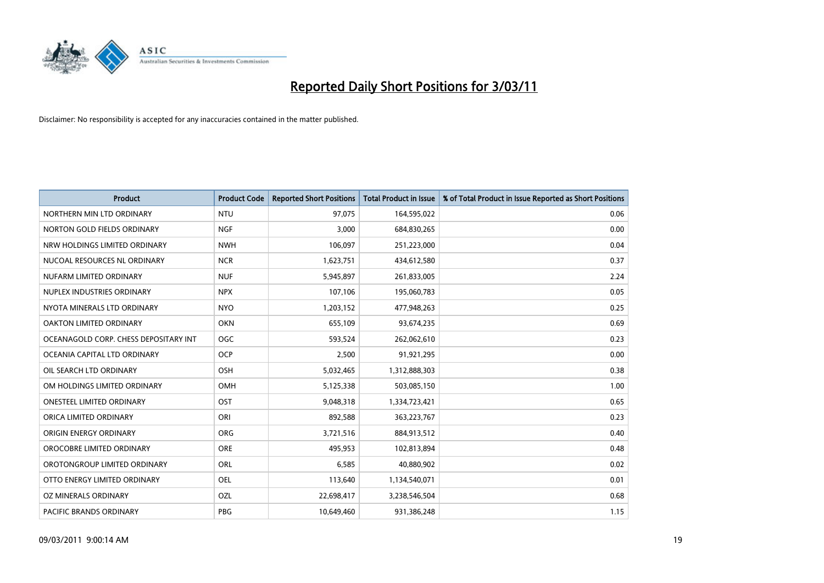

| Product                               | <b>Product Code</b> | <b>Reported Short Positions</b> | <b>Total Product in Issue</b> | % of Total Product in Issue Reported as Short Positions |
|---------------------------------------|---------------------|---------------------------------|-------------------------------|---------------------------------------------------------|
| NORTHERN MIN LTD ORDINARY             | <b>NTU</b>          | 97,075                          | 164,595,022                   | 0.06                                                    |
| NORTON GOLD FIELDS ORDINARY           | <b>NGF</b>          | 3,000                           | 684,830,265                   | 0.00                                                    |
| NRW HOLDINGS LIMITED ORDINARY         | <b>NWH</b>          | 106,097                         | 251,223,000                   | 0.04                                                    |
| NUCOAL RESOURCES NL ORDINARY          | <b>NCR</b>          | 1,623,751                       | 434,612,580                   | 0.37                                                    |
| NUFARM LIMITED ORDINARY               | <b>NUF</b>          | 5,945,897                       | 261,833,005                   | 2.24                                                    |
| NUPLEX INDUSTRIES ORDINARY            | <b>NPX</b>          | 107,106                         | 195,060,783                   | 0.05                                                    |
| NYOTA MINERALS LTD ORDINARY           | <b>NYO</b>          | 1,203,152                       | 477,948,263                   | 0.25                                                    |
| OAKTON LIMITED ORDINARY               | <b>OKN</b>          | 655,109                         | 93,674,235                    | 0.69                                                    |
| OCEANAGOLD CORP. CHESS DEPOSITARY INT | <b>OGC</b>          | 593,524                         | 262,062,610                   | 0.23                                                    |
| OCEANIA CAPITAL LTD ORDINARY          | <b>OCP</b>          | 2,500                           | 91,921,295                    | 0.00                                                    |
| OIL SEARCH LTD ORDINARY               | <b>OSH</b>          | 5,032,465                       | 1,312,888,303                 | 0.38                                                    |
| OM HOLDINGS LIMITED ORDINARY          | OMH                 | 5,125,338                       | 503,085,150                   | 1.00                                                    |
| <b>ONESTEEL LIMITED ORDINARY</b>      | OST                 | 9,048,318                       | 1,334,723,421                 | 0.65                                                    |
| ORICA LIMITED ORDINARY                | ORI                 | 892,588                         | 363,223,767                   | 0.23                                                    |
| ORIGIN ENERGY ORDINARY                | <b>ORG</b>          | 3,721,516                       | 884,913,512                   | 0.40                                                    |
| OROCOBRE LIMITED ORDINARY             | <b>ORE</b>          | 495,953                         | 102,813,894                   | 0.48                                                    |
| OROTONGROUP LIMITED ORDINARY          | <b>ORL</b>          | 6,585                           | 40,880,902                    | 0.02                                                    |
| OTTO ENERGY LIMITED ORDINARY          | <b>OEL</b>          | 113,640                         | 1,134,540,071                 | 0.01                                                    |
| OZ MINERALS ORDINARY                  | OZL                 | 22,698,417                      | 3,238,546,504                 | 0.68                                                    |
| <b>PACIFIC BRANDS ORDINARY</b>        | <b>PBG</b>          | 10,649,460                      | 931,386,248                   | 1.15                                                    |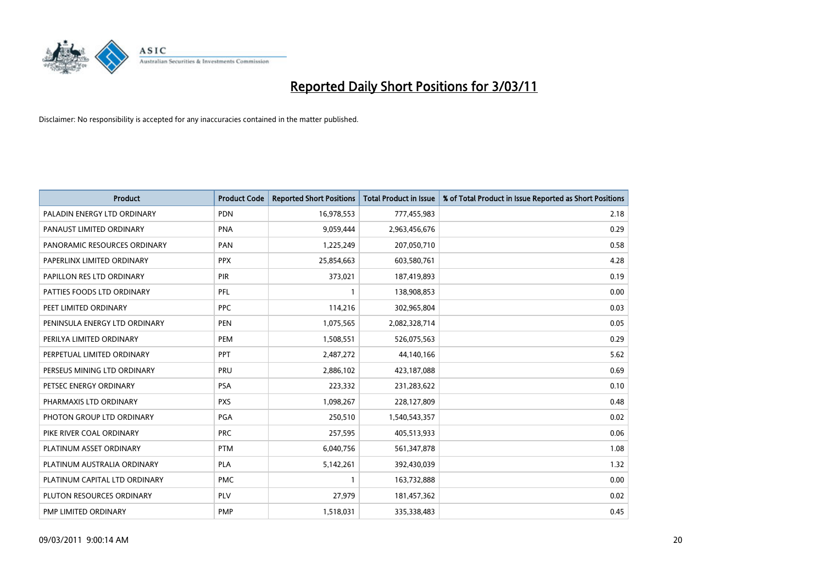

| <b>Product</b>                | <b>Product Code</b> | <b>Reported Short Positions</b> | Total Product in Issue | % of Total Product in Issue Reported as Short Positions |
|-------------------------------|---------------------|---------------------------------|------------------------|---------------------------------------------------------|
| PALADIN ENERGY LTD ORDINARY   | <b>PDN</b>          | 16,978,553                      | 777,455,983            | 2.18                                                    |
| PANAUST LIMITED ORDINARY      | <b>PNA</b>          | 9,059,444                       | 2,963,456,676          | 0.29                                                    |
| PANORAMIC RESOURCES ORDINARY  | PAN                 | 1,225,249                       | 207,050,710            | 0.58                                                    |
| PAPERLINX LIMITED ORDINARY    | <b>PPX</b>          | 25,854,663                      | 603,580,761            | 4.28                                                    |
| PAPILLON RES LTD ORDINARY     | PIR                 | 373,021                         | 187,419,893            | 0.19                                                    |
| PATTIES FOODS LTD ORDINARY    | PFL                 |                                 | 138,908,853            | 0.00                                                    |
| PEET LIMITED ORDINARY         | <b>PPC</b>          | 114,216                         | 302,965,804            | 0.03                                                    |
| PENINSULA ENERGY LTD ORDINARY | <b>PEN</b>          | 1,075,565                       | 2,082,328,714          | 0.05                                                    |
| PERILYA LIMITED ORDINARY      | PEM                 | 1,508,551                       | 526,075,563            | 0.29                                                    |
| PERPETUAL LIMITED ORDINARY    | <b>PPT</b>          | 2,487,272                       | 44,140,166             | 5.62                                                    |
| PERSEUS MINING LTD ORDINARY   | PRU                 | 2,886,102                       | 423,187,088            | 0.69                                                    |
| PETSEC ENERGY ORDINARY        | PSA                 | 223,332                         | 231,283,622            | 0.10                                                    |
| PHARMAXIS LTD ORDINARY        | <b>PXS</b>          | 1,098,267                       | 228,127,809            | 0.48                                                    |
| PHOTON GROUP LTD ORDINARY     | PGA                 | 250,510                         | 1,540,543,357          | 0.02                                                    |
| PIKE RIVER COAL ORDINARY      | <b>PRC</b>          | 257,595                         | 405,513,933            | 0.06                                                    |
| PLATINUM ASSET ORDINARY       | <b>PTM</b>          | 6,040,756                       | 561,347,878            | 1.08                                                    |
| PLATINUM AUSTRALIA ORDINARY   | PLA                 | 5,142,261                       | 392,430,039            | 1.32                                                    |
| PLATINUM CAPITAL LTD ORDINARY | <b>PMC</b>          |                                 | 163,732,888            | 0.00                                                    |
| PLUTON RESOURCES ORDINARY     | PLV                 | 27,979                          | 181,457,362            | 0.02                                                    |
| PMP LIMITED ORDINARY          | <b>PMP</b>          | 1,518,031                       | 335,338,483            | 0.45                                                    |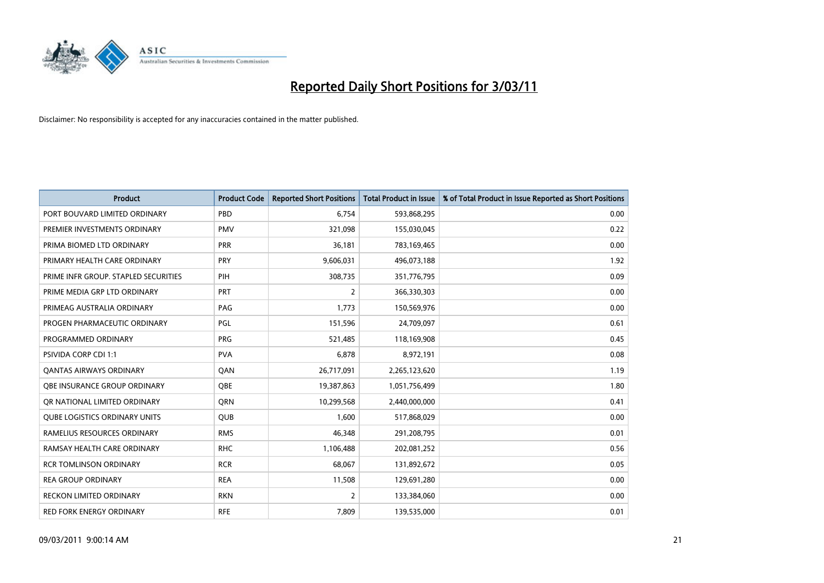

| <b>Product</b>                       | <b>Product Code</b> | <b>Reported Short Positions</b> | Total Product in Issue | % of Total Product in Issue Reported as Short Positions |
|--------------------------------------|---------------------|---------------------------------|------------------------|---------------------------------------------------------|
| PORT BOUVARD LIMITED ORDINARY        | PBD                 | 6,754                           | 593,868,295            | 0.00                                                    |
| PREMIER INVESTMENTS ORDINARY         | <b>PMV</b>          | 321,098                         | 155,030,045            | 0.22                                                    |
| PRIMA BIOMED LTD ORDINARY            | PRR                 | 36.181                          | 783,169,465            | 0.00                                                    |
| PRIMARY HEALTH CARE ORDINARY         | PRY                 | 9,606,031                       | 496,073,188            | 1.92                                                    |
| PRIME INFR GROUP. STAPLED SECURITIES | PIH                 | 308,735                         | 351,776,795            | 0.09                                                    |
| PRIME MEDIA GRP LTD ORDINARY         | PRT                 | $\overline{2}$                  | 366,330,303            | 0.00                                                    |
| PRIMEAG AUSTRALIA ORDINARY           | PAG                 | 1,773                           | 150,569,976            | 0.00                                                    |
| PROGEN PHARMACEUTIC ORDINARY         | PGL                 | 151,596                         | 24,709,097             | 0.61                                                    |
| PROGRAMMED ORDINARY                  | <b>PRG</b>          | 521,485                         | 118,169,908            | 0.45                                                    |
| <b>PSIVIDA CORP CDI 1:1</b>          | <b>PVA</b>          | 6,878                           | 8,972,191              | 0.08                                                    |
| <b>QANTAS AIRWAYS ORDINARY</b>       | QAN                 | 26,717,091                      | 2,265,123,620          | 1.19                                                    |
| <b>QBE INSURANCE GROUP ORDINARY</b>  | <b>OBE</b>          | 19,387,863                      | 1,051,756,499          | 1.80                                                    |
| OR NATIONAL LIMITED ORDINARY         | <b>ORN</b>          | 10,299,568                      | 2,440,000,000          | 0.41                                                    |
| <b>QUBE LOGISTICS ORDINARY UNITS</b> | <b>OUB</b>          | 1,600                           | 517,868,029            | 0.00                                                    |
| RAMELIUS RESOURCES ORDINARY          | <b>RMS</b>          | 46,348                          | 291,208,795            | 0.01                                                    |
| RAMSAY HEALTH CARE ORDINARY          | <b>RHC</b>          | 1,106,488                       | 202,081,252            | 0.56                                                    |
| <b>RCR TOMLINSON ORDINARY</b>        | <b>RCR</b>          | 68,067                          | 131,892,672            | 0.05                                                    |
| <b>REA GROUP ORDINARY</b>            | <b>REA</b>          | 11,508                          | 129,691,280            | 0.00                                                    |
| <b>RECKON LIMITED ORDINARY</b>       | <b>RKN</b>          | 2                               | 133,384,060            | 0.00                                                    |
| RED FORK ENERGY ORDINARY             | <b>RFE</b>          | 7,809                           | 139,535,000            | 0.01                                                    |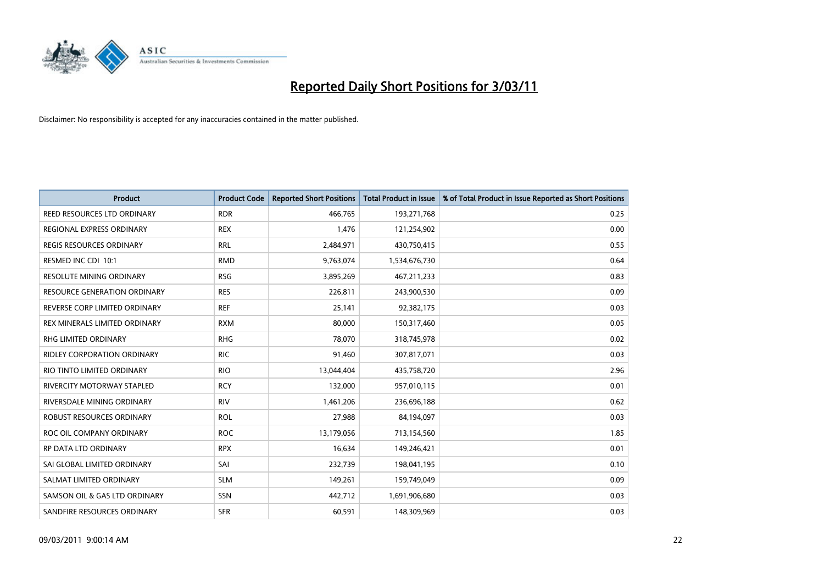

| Product                              | <b>Product Code</b> | <b>Reported Short Positions</b> | Total Product in Issue | % of Total Product in Issue Reported as Short Positions |
|--------------------------------------|---------------------|---------------------------------|------------------------|---------------------------------------------------------|
| <b>REED RESOURCES LTD ORDINARY</b>   | <b>RDR</b>          | 466,765                         | 193,271,768            | 0.25                                                    |
| REGIONAL EXPRESS ORDINARY            | <b>REX</b>          | 1,476                           | 121,254,902            | 0.00                                                    |
| <b>REGIS RESOURCES ORDINARY</b>      | <b>RRL</b>          | 2,484,971                       | 430,750,415            | 0.55                                                    |
| RESMED INC CDI 10:1                  | <b>RMD</b>          | 9,763,074                       | 1,534,676,730          | 0.64                                                    |
| <b>RESOLUTE MINING ORDINARY</b>      | <b>RSG</b>          | 3,895,269                       | 467,211,233            | 0.83                                                    |
| <b>RESOURCE GENERATION ORDINARY</b>  | <b>RES</b>          | 226.811                         | 243,900,530            | 0.09                                                    |
| REVERSE CORP LIMITED ORDINARY        | <b>REF</b>          | 25,141                          | 92,382,175             | 0.03                                                    |
| <b>REX MINERALS LIMITED ORDINARY</b> | <b>RXM</b>          | 80,000                          | 150,317,460            | 0.05                                                    |
| RHG LIMITED ORDINARY                 | <b>RHG</b>          | 78,070                          | 318,745,978            | 0.02                                                    |
| RIDLEY CORPORATION ORDINARY          | <b>RIC</b>          | 91,460                          | 307,817,071            | 0.03                                                    |
| RIO TINTO LIMITED ORDINARY           | <b>RIO</b>          | 13,044,404                      | 435,758,720            | 2.96                                                    |
| RIVERCITY MOTORWAY STAPLED           | <b>RCY</b>          | 132,000                         | 957,010,115            | 0.01                                                    |
| RIVERSDALE MINING ORDINARY           | <b>RIV</b>          | 1,461,206                       | 236,696,188            | 0.62                                                    |
| <b>ROBUST RESOURCES ORDINARY</b>     | <b>ROL</b>          | 27,988                          | 84,194,097             | 0.03                                                    |
| ROC OIL COMPANY ORDINARY             | <b>ROC</b>          | 13,179,056                      | 713,154,560            | 1.85                                                    |
| <b>RP DATA LTD ORDINARY</b>          | <b>RPX</b>          | 16,634                          | 149,246,421            | 0.01                                                    |
| SAI GLOBAL LIMITED ORDINARY          | SAI                 | 232,739                         | 198,041,195            | 0.10                                                    |
| SALMAT LIMITED ORDINARY              | <b>SLM</b>          | 149,261                         | 159,749,049            | 0.09                                                    |
| SAMSON OIL & GAS LTD ORDINARY        | SSN                 | 442,712                         | 1,691,906,680          | 0.03                                                    |
| SANDFIRE RESOURCES ORDINARY          | <b>SFR</b>          | 60,591                          | 148,309,969            | 0.03                                                    |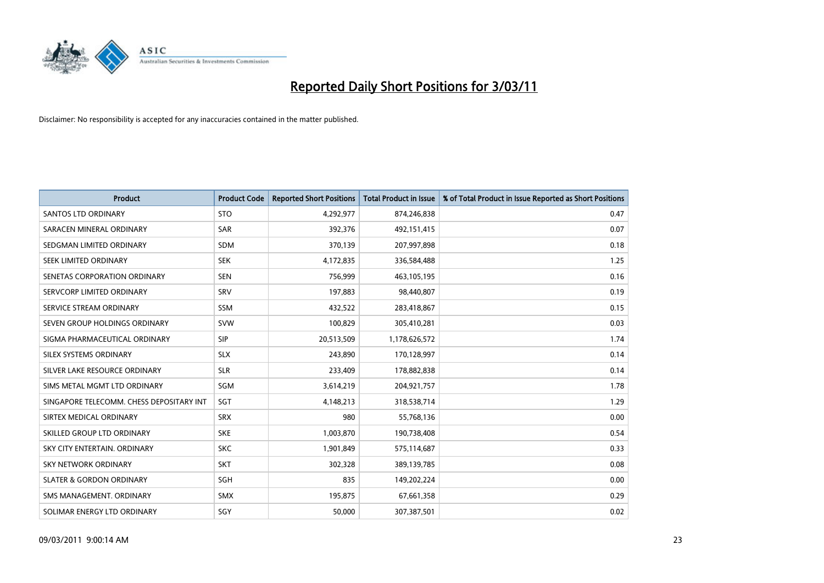

| <b>Product</b>                           | <b>Product Code</b> | <b>Reported Short Positions</b> | Total Product in Issue | % of Total Product in Issue Reported as Short Positions |
|------------------------------------------|---------------------|---------------------------------|------------------------|---------------------------------------------------------|
| <b>SANTOS LTD ORDINARY</b>               | <b>STO</b>          | 4,292,977                       | 874,246,838            | 0.47                                                    |
| SARACEN MINERAL ORDINARY                 | <b>SAR</b>          | 392,376                         | 492,151,415            | 0.07                                                    |
| SEDGMAN LIMITED ORDINARY                 | <b>SDM</b>          | 370,139                         | 207,997,898            | 0.18                                                    |
| SEEK LIMITED ORDINARY                    | <b>SEK</b>          | 4,172,835                       | 336,584,488            | 1.25                                                    |
| SENETAS CORPORATION ORDINARY             | <b>SEN</b>          | 756,999                         | 463,105,195            | 0.16                                                    |
| SERVCORP LIMITED ORDINARY                | SRV                 | 197,883                         | 98,440,807             | 0.19                                                    |
| SERVICE STREAM ORDINARY                  | <b>SSM</b>          | 432,522                         | 283,418,867            | 0.15                                                    |
| SEVEN GROUP HOLDINGS ORDINARY            | <b>SVW</b>          | 100,829                         | 305,410,281            | 0.03                                                    |
| SIGMA PHARMACEUTICAL ORDINARY            | <b>SIP</b>          | 20,513,509                      | 1,178,626,572          | 1.74                                                    |
| SILEX SYSTEMS ORDINARY                   | <b>SLX</b>          | 243,890                         | 170,128,997            | 0.14                                                    |
| SILVER LAKE RESOURCE ORDINARY            | <b>SLR</b>          | 233,409                         | 178,882,838            | 0.14                                                    |
| SIMS METAL MGMT LTD ORDINARY             | SGM                 | 3,614,219                       | 204,921,757            | 1.78                                                    |
| SINGAPORE TELECOMM. CHESS DEPOSITARY INT | SGT                 | 4,148,213                       | 318,538,714            | 1.29                                                    |
| SIRTEX MEDICAL ORDINARY                  | <b>SRX</b>          | 980                             | 55,768,136             | 0.00                                                    |
| SKILLED GROUP LTD ORDINARY               | <b>SKE</b>          | 1,003,870                       | 190,738,408            | 0.54                                                    |
| SKY CITY ENTERTAIN, ORDINARY             | <b>SKC</b>          | 1,901,849                       | 575,114,687            | 0.33                                                    |
| <b>SKY NETWORK ORDINARY</b>              | <b>SKT</b>          | 302,328                         | 389,139,785            | 0.08                                                    |
| <b>SLATER &amp; GORDON ORDINARY</b>      | SGH                 | 835                             | 149,202,224            | 0.00                                                    |
| SMS MANAGEMENT, ORDINARY                 | <b>SMX</b>          | 195,875                         | 67,661,358             | 0.29                                                    |
| SOLIMAR ENERGY LTD ORDINARY              | SGY                 | 50,000                          | 307,387,501            | 0.02                                                    |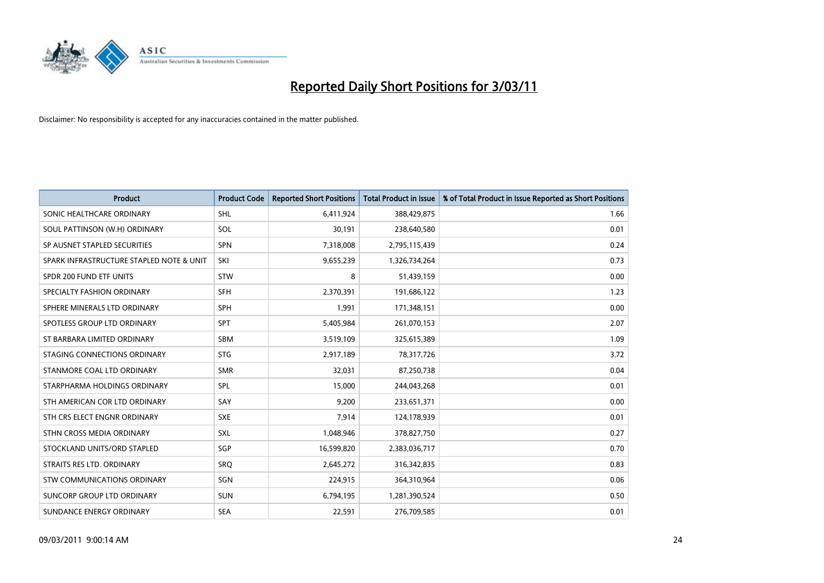

| <b>Product</b>                           | <b>Product Code</b> | <b>Reported Short Positions</b> | Total Product in Issue | % of Total Product in Issue Reported as Short Positions |
|------------------------------------------|---------------------|---------------------------------|------------------------|---------------------------------------------------------|
| SONIC HEALTHCARE ORDINARY                | <b>SHL</b>          | 6,411,924                       | 388,429,875            | 1.66                                                    |
| SOUL PATTINSON (W.H) ORDINARY            | SOL                 | 30,191                          | 238,640,580            | 0.01                                                    |
| SP AUSNET STAPLED SECURITIES             | <b>SPN</b>          | 7,318,008                       | 2,795,115,439          | 0.24                                                    |
| SPARK INFRASTRUCTURE STAPLED NOTE & UNIT | SKI                 | 9,655,239                       | 1,326,734,264          | 0.73                                                    |
| SPDR 200 FUND ETF UNITS                  | <b>STW</b>          | 8                               | 51,439,159             | 0.00                                                    |
| SPECIALTY FASHION ORDINARY               | <b>SFH</b>          | 2,370,391                       | 191,686,122            | 1.23                                                    |
| SPHERE MINERALS LTD ORDINARY             | <b>SPH</b>          | 1,991                           | 171,348,151            | 0.00                                                    |
| SPOTLESS GROUP LTD ORDINARY              | <b>SPT</b>          | 5,405,984                       | 261,070,153            | 2.07                                                    |
| ST BARBARA LIMITED ORDINARY              | <b>SBM</b>          | 3,519,109                       | 325,615,389            | 1.09                                                    |
| STAGING CONNECTIONS ORDINARY             | <b>STG</b>          | 2,917,189                       | 78,317,726             | 3.72                                                    |
| STANMORE COAL LTD ORDINARY               | <b>SMR</b>          | 32,031                          | 87,250,738             | 0.04                                                    |
| STARPHARMA HOLDINGS ORDINARY             | SPL                 | 15,000                          | 244,043,268            | 0.01                                                    |
| STH AMERICAN COR LTD ORDINARY            | SAY                 | 9,200                           | 233,651,371            | 0.00                                                    |
| STH CRS ELECT ENGNR ORDINARY             | <b>SXE</b>          | 7,914                           | 124,178,939            | 0.01                                                    |
| STHN CROSS MEDIA ORDINARY                | SXL                 | 1,048,946                       | 378,827,750            | 0.27                                                    |
| STOCKLAND UNITS/ORD STAPLED              | SGP                 | 16,599,820                      | 2,383,036,717          | 0.70                                                    |
| STRAITS RES LTD. ORDINARY                | SRQ                 | 2,645,272                       | 316, 342, 835          | 0.83                                                    |
| <b>STW COMMUNICATIONS ORDINARY</b>       | SGN                 | 224,915                         | 364,310,964            | 0.06                                                    |
| SUNCORP GROUP LTD ORDINARY               | <b>SUN</b>          | 6,794,195                       | 1,281,390,524          | 0.50                                                    |
| SUNDANCE ENERGY ORDINARY                 | <b>SEA</b>          | 22,591                          | 276,709,585            | 0.01                                                    |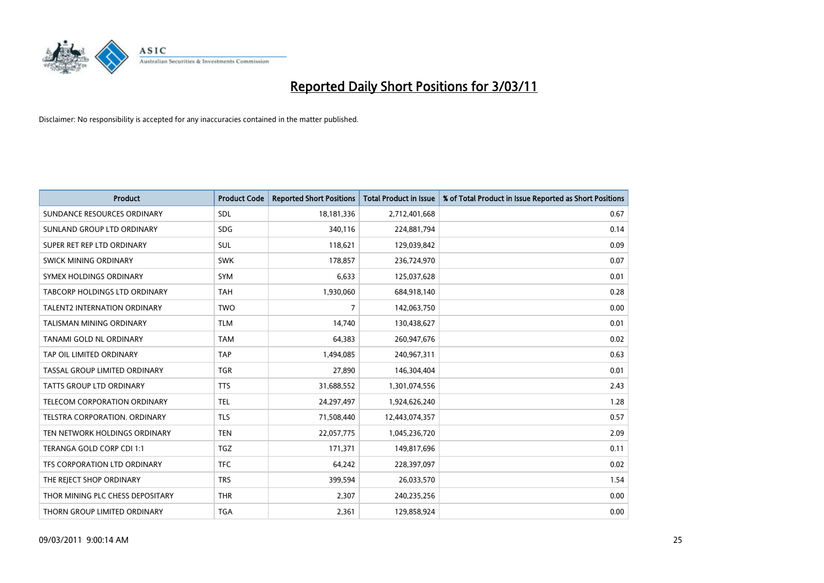

| <b>Product</b>                       | <b>Product Code</b> | <b>Reported Short Positions</b> | <b>Total Product in Issue</b> | % of Total Product in Issue Reported as Short Positions |
|--------------------------------------|---------------------|---------------------------------|-------------------------------|---------------------------------------------------------|
| SUNDANCE RESOURCES ORDINARY          | SDL                 | 18, 181, 336                    | 2,712,401,668                 | 0.67                                                    |
| SUNLAND GROUP LTD ORDINARY           | <b>SDG</b>          | 340,116                         | 224,881,794                   | 0.14                                                    |
| SUPER RET REP LTD ORDINARY           | SUL                 | 118,621                         | 129,039,842                   | 0.09                                                    |
| SWICK MINING ORDINARY                | <b>SWK</b>          | 178,857                         | 236,724,970                   | 0.07                                                    |
| SYMEX HOLDINGS ORDINARY              | <b>SYM</b>          | 6,633                           | 125,037,628                   | 0.01                                                    |
| <b>TABCORP HOLDINGS LTD ORDINARY</b> | <b>TAH</b>          | 1,930,060                       | 684,918,140                   | 0.28                                                    |
| <b>TALENT2 INTERNATION ORDINARY</b>  | <b>TWO</b>          | 7                               | 142,063,750                   | 0.00                                                    |
| TALISMAN MINING ORDINARY             | <b>TLM</b>          | 14,740                          | 130,438,627                   | 0.01                                                    |
| TANAMI GOLD NL ORDINARY              | <b>TAM</b>          | 64,383                          | 260,947,676                   | 0.02                                                    |
| TAP OIL LIMITED ORDINARY             | <b>TAP</b>          | 1,494,085                       | 240,967,311                   | 0.63                                                    |
| TASSAL GROUP LIMITED ORDINARY        | <b>TGR</b>          | 27,890                          | 146,304,404                   | 0.01                                                    |
| TATTS GROUP LTD ORDINARY             | <b>TTS</b>          | 31,688,552                      | 1,301,074,556                 | 2.43                                                    |
| <b>TELECOM CORPORATION ORDINARY</b>  | <b>TEL</b>          | 24,297,497                      | 1,924,626,240                 | 1.28                                                    |
| TELSTRA CORPORATION, ORDINARY        | <b>TLS</b>          | 71,508,440                      | 12,443,074,357                | 0.57                                                    |
| TEN NETWORK HOLDINGS ORDINARY        | <b>TEN</b>          | 22,057,775                      | 1,045,236,720                 | 2.09                                                    |
| TERANGA GOLD CORP CDI 1:1            | <b>TGZ</b>          | 171,371                         | 149,817,696                   | 0.11                                                    |
| TFS CORPORATION LTD ORDINARY         | <b>TFC</b>          | 64,242                          | 228,397,097                   | 0.02                                                    |
| THE REJECT SHOP ORDINARY             | <b>TRS</b>          | 399,594                         | 26,033,570                    | 1.54                                                    |
| THOR MINING PLC CHESS DEPOSITARY     | <b>THR</b>          | 2,307                           | 240,235,256                   | 0.00                                                    |
| THORN GROUP LIMITED ORDINARY         | <b>TGA</b>          | 2,361                           | 129,858,924                   | 0.00                                                    |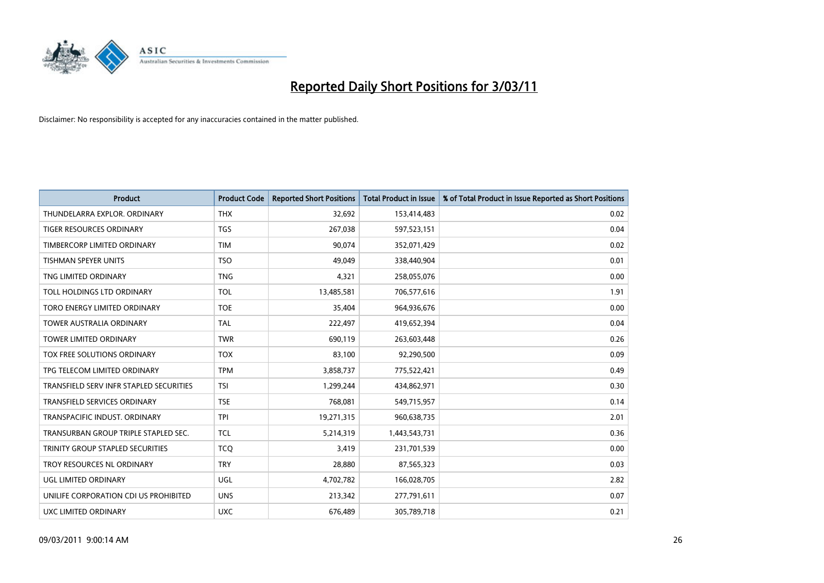

| <b>Product</b>                          | <b>Product Code</b> | <b>Reported Short Positions</b> | Total Product in Issue | % of Total Product in Issue Reported as Short Positions |
|-----------------------------------------|---------------------|---------------------------------|------------------------|---------------------------------------------------------|
| THUNDELARRA EXPLOR. ORDINARY            | <b>THX</b>          | 32,692                          | 153,414,483            | 0.02                                                    |
| TIGER RESOURCES ORDINARY                | <b>TGS</b>          | 267,038                         | 597,523,151            | 0.04                                                    |
| TIMBERCORP LIMITED ORDINARY             | <b>TIM</b>          | 90.074                          | 352,071,429            | 0.02                                                    |
| TISHMAN SPEYER UNITS                    | <b>TSO</b>          | 49.049                          | 338,440,904            | 0.01                                                    |
| TNG LIMITED ORDINARY                    | <b>TNG</b>          | 4,321                           | 258,055,076            | 0.00                                                    |
| TOLL HOLDINGS LTD ORDINARY              | <b>TOL</b>          | 13,485,581                      | 706,577,616            | 1.91                                                    |
| TORO ENERGY LIMITED ORDINARY            | <b>TOE</b>          | 35,404                          | 964,936,676            | 0.00                                                    |
| <b>TOWER AUSTRALIA ORDINARY</b>         | <b>TAL</b>          | 222,497                         | 419,652,394            | 0.04                                                    |
| TOWER LIMITED ORDINARY                  | <b>TWR</b>          | 690,119                         | 263,603,448            | 0.26                                                    |
| TOX FREE SOLUTIONS ORDINARY             | <b>TOX</b>          | 83,100                          | 92,290,500             | 0.09                                                    |
| TPG TELECOM LIMITED ORDINARY            | <b>TPM</b>          | 3,858,737                       | 775,522,421            | 0.49                                                    |
| TRANSFIELD SERV INFR STAPLED SECURITIES | <b>TSI</b>          | 1,299,244                       | 434,862,971            | 0.30                                                    |
| <b>TRANSFIELD SERVICES ORDINARY</b>     | <b>TSE</b>          | 768,081                         | 549,715,957            | 0.14                                                    |
| TRANSPACIFIC INDUST, ORDINARY           | <b>TPI</b>          | 19,271,315                      | 960,638,735            | 2.01                                                    |
| TRANSURBAN GROUP TRIPLE STAPLED SEC.    | <b>TCL</b>          | 5,214,319                       | 1,443,543,731          | 0.36                                                    |
| TRINITY GROUP STAPLED SECURITIES        | <b>TCO</b>          | 3.419                           | 231,701,539            | 0.00                                                    |
| TROY RESOURCES NL ORDINARY              | <b>TRY</b>          | 28,880                          | 87,565,323             | 0.03                                                    |
| UGL LIMITED ORDINARY                    | <b>UGL</b>          | 4,702,782                       | 166,028,705            | 2.82                                                    |
| UNILIFE CORPORATION CDI US PROHIBITED   | <b>UNS</b>          | 213,342                         | 277,791,611            | 0.07                                                    |
| UXC LIMITED ORDINARY                    | <b>UXC</b>          | 676,489                         | 305,789,718            | 0.21                                                    |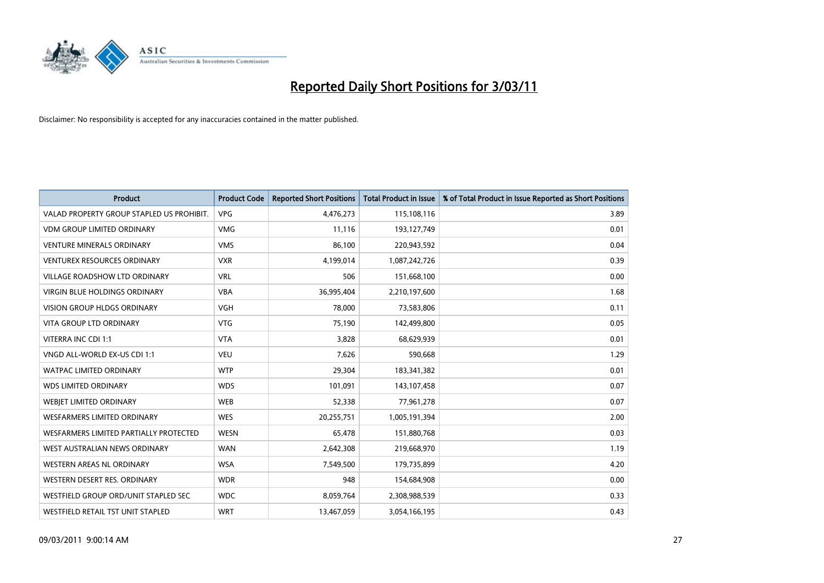

| <b>Product</b>                            | <b>Product Code</b> | <b>Reported Short Positions</b> | Total Product in Issue | % of Total Product in Issue Reported as Short Positions |
|-------------------------------------------|---------------------|---------------------------------|------------------------|---------------------------------------------------------|
| VALAD PROPERTY GROUP STAPLED US PROHIBIT. | <b>VPG</b>          | 4,476,273                       | 115,108,116            | 3.89                                                    |
| <b>VDM GROUP LIMITED ORDINARY</b>         | <b>VMG</b>          | 11,116                          | 193,127,749            | 0.01                                                    |
| <b>VENTURE MINERALS ORDINARY</b>          | <b>VMS</b>          | 86,100                          | 220,943,592            | 0.04                                                    |
| <b>VENTUREX RESOURCES ORDINARY</b>        | <b>VXR</b>          | 4,199,014                       | 1,087,242,726          | 0.39                                                    |
| <b>VILLAGE ROADSHOW LTD ORDINARY</b>      | <b>VRL</b>          | 506                             | 151,668,100            | 0.00                                                    |
| VIRGIN BLUE HOLDINGS ORDINARY             | <b>VBA</b>          | 36,995,404                      | 2,210,197,600          | 1.68                                                    |
| <b>VISION GROUP HLDGS ORDINARY</b>        | <b>VGH</b>          | 78,000                          | 73,583,806             | 0.11                                                    |
| <b>VITA GROUP LTD ORDINARY</b>            | <b>VTG</b>          | 75,190                          | 142,499,800            | 0.05                                                    |
| VITERRA INC CDI 1:1                       | <b>VTA</b>          | 3,828                           | 68,629,939             | 0.01                                                    |
| VNGD ALL-WORLD EX-US CDI 1:1              | <b>VEU</b>          | 7,626                           | 590,668                | 1.29                                                    |
| WATPAC LIMITED ORDINARY                   | <b>WTP</b>          | 29,304                          | 183,341,382            | 0.01                                                    |
| <b>WDS LIMITED ORDINARY</b>               | <b>WDS</b>          | 101,091                         | 143,107,458            | 0.07                                                    |
| WEBJET LIMITED ORDINARY                   | <b>WEB</b>          | 52,338                          | 77,961,278             | 0.07                                                    |
| <b>WESFARMERS LIMITED ORDINARY</b>        | <b>WES</b>          | 20,255,751                      | 1,005,191,394          | 2.00                                                    |
| WESFARMERS LIMITED PARTIALLY PROTECTED    | <b>WESN</b>         | 65,478                          | 151,880,768            | 0.03                                                    |
| WEST AUSTRALIAN NEWS ORDINARY             | <b>WAN</b>          | 2,642,308                       | 219,668,970            | 1.19                                                    |
| WESTERN AREAS NL ORDINARY                 | <b>WSA</b>          | 7,549,500                       | 179,735,899            | 4.20                                                    |
| WESTERN DESERT RES. ORDINARY              | <b>WDR</b>          | 948                             | 154,684,908            | 0.00                                                    |
| WESTFIELD GROUP ORD/UNIT STAPLED SEC      | <b>WDC</b>          | 8,059,764                       | 2,308,988,539          | 0.33                                                    |
| <b>WESTFIELD RETAIL TST UNIT STAPLED</b>  | <b>WRT</b>          | 13,467,059                      | 3,054,166,195          | 0.43                                                    |